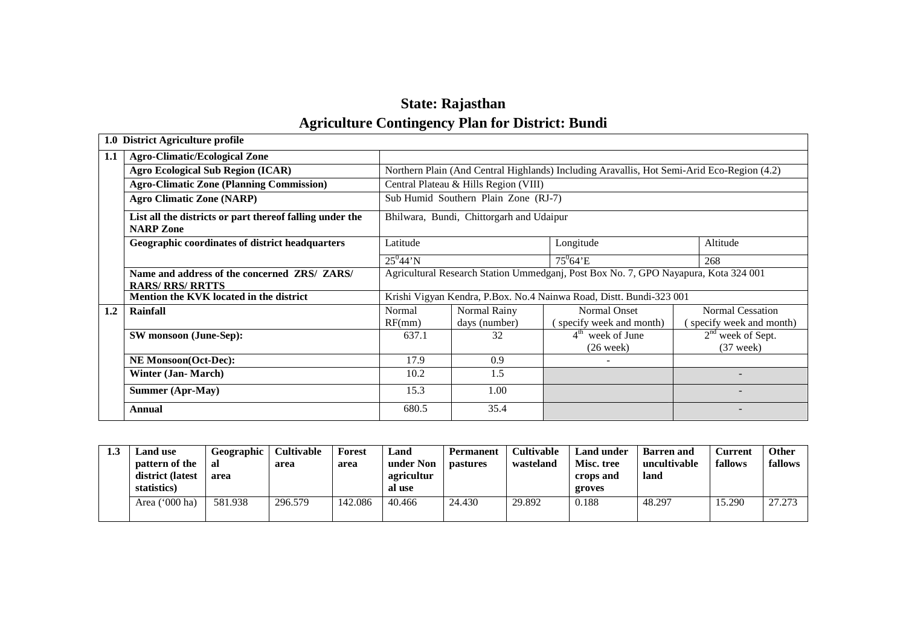# **State: RajasthanAgriculture Contingency Plan for District: Bundi**

|     | 1.0 District Agriculture profile                                             |                                                                                     |                                       |                                                                                            |                         |  |  |
|-----|------------------------------------------------------------------------------|-------------------------------------------------------------------------------------|---------------------------------------|--------------------------------------------------------------------------------------------|-------------------------|--|--|
| 1.1 | <b>Agro-Climatic/Ecological Zone</b>                                         |                                                                                     |                                       |                                                                                            |                         |  |  |
|     | <b>Agro Ecological Sub Region (ICAR)</b>                                     |                                                                                     |                                       | Northern Plain (And Central Highlands) Including Aravallis, Hot Semi-Arid Eco-Region (4.2) |                         |  |  |
|     | <b>Agro-Climatic Zone (Planning Commission)</b>                              |                                                                                     | Central Plateau & Hills Region (VIII) |                                                                                            |                         |  |  |
|     | <b>Agro Climatic Zone (NARP)</b>                                             |                                                                                     | Sub Humid Southern Plain Zone (RJ-7)  |                                                                                            |                         |  |  |
|     | List all the districts or part thereof falling under the<br><b>NARP Zone</b> | Bhilwara, Bundi, Chittorgarh and Udaipur                                            |                                       |                                                                                            |                         |  |  |
|     | Geographic coordinates of district headquarters                              | Latitude                                                                            |                                       | Longitude                                                                                  | Altitude                |  |  |
|     |                                                                              | $25^044'$ N                                                                         |                                       | $75^0 64$ 'E                                                                               | 268                     |  |  |
|     | Name and address of the concerned ZRS/ ZARS/                                 | Agricultural Research Station Ummedganj, Post Box No. 7, GPO Nayapura, Kota 324 001 |                                       |                                                                                            |                         |  |  |
|     | <b>RARS/ RRS/ RRTTS</b>                                                      |                                                                                     |                                       |                                                                                            |                         |  |  |
|     | <b>Mention the KVK located in the district</b>                               |                                                                                     |                                       | Krishi Vigyan Kendra, P.Box. No.4 Nainwa Road, Distt. Bundi-323 001                        |                         |  |  |
| 1.2 | <b>Rainfall</b>                                                              | Normal                                                                              | Normal Rainy                          | Normal Onset                                                                               | Normal Cessation        |  |  |
|     |                                                                              | RF(mm)                                                                              | days (number)                         | specify week and month)                                                                    | specify week and month) |  |  |
|     | SW monsoon (June-Sep):                                                       | 637.1                                                                               | 32                                    | $4th$ week of June                                                                         | $2nd$ week of Sept.     |  |  |
|     |                                                                              |                                                                                     |                                       | $(26 \text{ week})$                                                                        | $(37$ week)             |  |  |
|     | <b>NE Monsoon(Oct-Dec):</b>                                                  | 17.9                                                                                | 0.9                                   |                                                                                            |                         |  |  |
|     | <b>Winter (Jan-March)</b>                                                    | 10.2                                                                                | 1.5                                   |                                                                                            |                         |  |  |
|     | <b>Summer (Apr-May)</b>                                                      | 15.3                                                                                | 1.00                                  |                                                                                            |                         |  |  |
|     | Annual                                                                       | 680.5                                                                               | 35.4                                  |                                                                                            |                         |  |  |

| ⊥.J | <b>Land use</b><br>pattern of the<br>district (latest<br>statistics) | Geographic<br>al<br>area | <b>Cultivable</b><br>area | Forest<br>area | ∟and<br>under Non<br>agricultur<br>al use | Permanent<br>pastures | <b>Cultivable</b><br>wasteland | Land under<br>Misc. tree<br>crops and<br>groves | <b>Barren</b> and<br>uncultivable<br>land | <b>Current</b><br>fallows | <b>Other</b><br>fallows |
|-----|----------------------------------------------------------------------|--------------------------|---------------------------|----------------|-------------------------------------------|-----------------------|--------------------------------|-------------------------------------------------|-------------------------------------------|---------------------------|-------------------------|
|     | Area ('000 ha)                                                       | 581.938                  | 296.579                   | 142.086        | 40.466                                    | 24.430                | 29.892                         | 0.188                                           | 48.297                                    | 15.290                    | 27.273                  |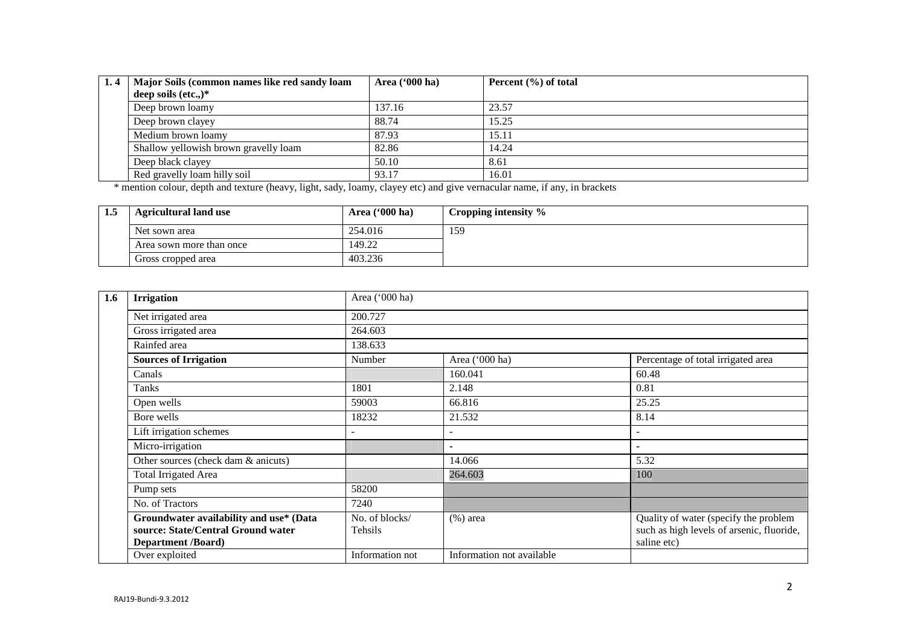| 1.4 | Major Soils (common names like red sandy loam | Area $(900 \text{ ha})$ | Percent $(\% )$ of total |
|-----|-----------------------------------------------|-------------------------|--------------------------|
|     | deep soils (etc.,) $*$                        |                         |                          |
|     | Deep brown loamy                              | 137.16                  | 23.57                    |
|     | Deep brown clayey                             | 88.74                   | 15.25                    |
|     | Medium brown loamy                            | 87.93                   | 15.11                    |
|     | Shallow yellowish brown gravelly loam         | 82.86                   | 14.24                    |
|     | Deep black clayey                             | 50.10                   | 8.61                     |
|     | Red gravelly loam hilly soil                  | 93.17                   | 16.01                    |

\* mention colour, depth and texture (heavy, light, sady, loamy, clayey etc) and give vernacular name, if any, in brackets

| -- | <b>Agricultural land use</b> | Area $(900)$ ha) | Cropping intensity $\%$ |
|----|------------------------------|------------------|-------------------------|
|    | Net sown area                | 254.016          | 159                     |
|    | Area sown more than once     | 149.22           |                         |
|    | Gross cropped area           | 403.236          |                         |

| 1.6 | <b>Irrigation</b>                       | Area ('000 ha)  |                           |                                           |  |  |  |
|-----|-----------------------------------------|-----------------|---------------------------|-------------------------------------------|--|--|--|
|     | Net irrigated area                      | 200.727         |                           |                                           |  |  |  |
|     | Gross irrigated area                    | 264.603         |                           |                                           |  |  |  |
|     | Rainfed area                            | 138.633         |                           |                                           |  |  |  |
|     | <b>Sources of Irrigation</b>            | Number          | Area ('000 ha)            | Percentage of total irrigated area        |  |  |  |
|     | Canals                                  |                 | 160.041                   | 60.48                                     |  |  |  |
|     | <b>Tanks</b>                            | 1801            | 2.148                     | 0.81                                      |  |  |  |
|     | Open wells                              | 59003           | 66.816                    | 25.25                                     |  |  |  |
|     | Bore wells                              | 18232           | 21.532                    | 8.14                                      |  |  |  |
|     | Lift irrigation schemes                 |                 |                           |                                           |  |  |  |
|     | Micro-irrigation                        |                 |                           | ۰                                         |  |  |  |
|     | Other sources (check dam & anicuts)     |                 | 14.066                    | 5.32                                      |  |  |  |
|     | <b>Total Irrigated Area</b>             |                 | 264.603                   | 100                                       |  |  |  |
|     | Pump sets                               | 58200           |                           |                                           |  |  |  |
|     | No. of Tractors                         | 7240            |                           |                                           |  |  |  |
|     | Groundwater availability and use* (Data | No. of blocks/  | $(\%)$ area               | Quality of water (specify the problem     |  |  |  |
|     | source: State/Central Ground water      | Tehsils         |                           | such as high levels of arsenic, fluoride, |  |  |  |
|     | <b>Department /Board)</b>               |                 |                           | saline etc)                               |  |  |  |
|     | Over exploited                          | Information not | Information not available |                                           |  |  |  |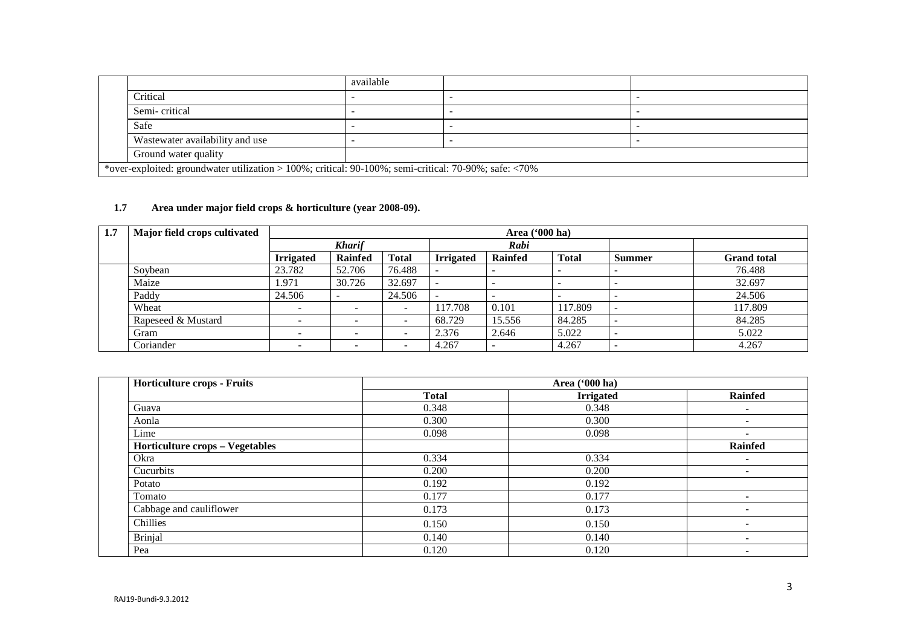|                                                                                                       | available |  |  |  |  |  |  |
|-------------------------------------------------------------------------------------------------------|-----------|--|--|--|--|--|--|
| Critical                                                                                              |           |  |  |  |  |  |  |
| Semi-critical                                                                                         |           |  |  |  |  |  |  |
| Safe                                                                                                  |           |  |  |  |  |  |  |
| Wastewater availability and use                                                                       |           |  |  |  |  |  |  |
| Ground water quality                                                                                  |           |  |  |  |  |  |  |
| *over-exploited: groundwater utilization > 100%; critical: 90-100%; semi-critical: 70-90%; safe: <70% |           |  |  |  |  |  |  |

## **1.7 Area under major field crops & horticulture (year 2008-09).**

| 1.7 | Major field crops cultivated |                  | Area ('000 ha)  |                              |                  |                          |                          |                          |                    |
|-----|------------------------------|------------------|-----------------|------------------------------|------------------|--------------------------|--------------------------|--------------------------|--------------------|
|     |                              |                  | <b>Kharif</b>   |                              | Rabi             |                          |                          |                          |                    |
|     |                              | <b>Irrigated</b> | <b>Rainfed</b>  | <b>Total</b>                 | <b>Irrigated</b> | <b>Rainfed</b>           | <b>Total</b>             | <b>Summer</b>            | <b>Grand</b> total |
|     | Soybean                      | 23.782           | 52.706          | 76.488                       |                  | $\overline{\phantom{0}}$ |                          |                          | 76.488             |
|     | Maize                        | .971             | 30.726          | 32.697                       |                  | $\overline{\phantom{0}}$ | $\overline{\phantom{0}}$ | -                        | 32.697             |
|     | Paddy                        | 24.506           |                 | 24.506                       |                  |                          |                          |                          | 24.506             |
|     | Wheat                        |                  |                 | $\qquad \qquad \blacksquare$ | 117.708          | 0.101                    | 117.809                  |                          | 117.809            |
|     | Rapeseed & Mustard           | -                | -               | -                            | 68.729           | 15.556                   | 84.285                   |                          | 84.285             |
|     | Gram                         | -                | $\qquad \qquad$ | $\overline{\phantom{0}}$     | 2.376            | 2.646                    | 5.022                    | -                        | 5.022              |
|     | Coriander                    |                  | -               | -                            | 4.267            |                          | 4.267                    | $\overline{\phantom{0}}$ | 4.267              |

| <b>Horticulture crops - Fruits</b> |              | Area ('000 ha)   |                          |
|------------------------------------|--------------|------------------|--------------------------|
|                                    | <b>Total</b> | <b>Irrigated</b> | <b>Rainfed</b>           |
| Guava                              | 0.348        | 0.348            | $\overline{\phantom{a}}$ |
| Aonla                              | 0.300        | 0.300            |                          |
| Lime                               | 0.098        | 0.098            | $\overline{\phantom{0}}$ |
| Horticulture crops - Vegetables    |              |                  | <b>Rainfed</b>           |
| Okra                               | 0.334        | 0.334            | $\overline{\phantom{0}}$ |
| Cucurbits                          | 0.200        | 0.200            |                          |
| Potato                             | 0.192        | 0.192            |                          |
| Tomato                             | 0.177        | 0.177            |                          |
| Cabbage and cauliflower            | 0.173        | 0.173            |                          |
| Chillies                           | 0.150        | 0.150            | $\overline{\phantom{0}}$ |
| <b>Brinjal</b>                     | 0.140        | 0.140            |                          |
| Pea                                | 0.120        | 0.120            |                          |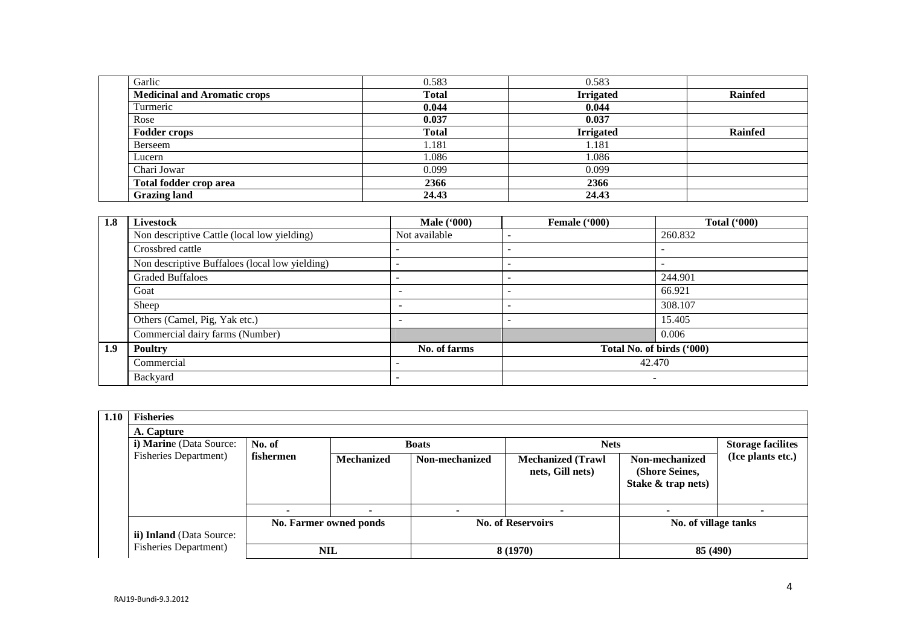| 0.583        | 0.583            |                |
|--------------|------------------|----------------|
| <b>Total</b> | <b>Irrigated</b> | <b>Rainfed</b> |
| 0.044        | 0.044            |                |
| 0.037        | 0.037            |                |
| <b>Total</b> | <b>Irrigated</b> | <b>Rainfed</b> |
| 1.181        | 1.181            |                |
| 1.086        | 1.086            |                |
| 0.099        | 0.099            |                |
| 2366         | 2366             |                |
| 24.43        | 24.43            |                |
|              |                  |                |

| 1.8 | Livestock                                      | <b>Male</b> ('000)       | Female ('000) | <b>Total</b> ('000)       |
|-----|------------------------------------------------|--------------------------|---------------|---------------------------|
|     | Non descriptive Cattle (local low yielding)    | Not available            |               | 260.832                   |
|     | Crossbred cattle                               | $\overline{\phantom{a}}$ |               | $\overline{\phantom{a}}$  |
|     | Non descriptive Buffaloes (local low yielding) |                          |               | $\overline{\phantom{a}}$  |
|     | <b>Graded Buffaloes</b>                        |                          |               | 244.901                   |
|     | Goat                                           |                          |               | 66.921                    |
|     | Sheep                                          |                          | -             | 308.107                   |
|     | Others (Camel, Pig, Yak etc.)                  | -                        | -             | 15.405                    |
|     | Commercial dairy farms (Number)                |                          |               | 0.006                     |
| 1.9 | <b>Poultry</b>                                 | No. of farms             |               | Total No. of birds ('000) |
|     | Commercial                                     |                          |               | 42.470                    |
|     | Backyard                                       |                          |               | $\overline{\phantom{0}}$  |

| 1.10 | <b>Fisheries</b>              |                                                                   |                          |                          |                                              |                                                        |                   |  |  |  |
|------|-------------------------------|-------------------------------------------------------------------|--------------------------|--------------------------|----------------------------------------------|--------------------------------------------------------|-------------------|--|--|--|
|      | A. Capture                    |                                                                   |                          |                          |                                              |                                                        |                   |  |  |  |
|      | i) Marine (Data Source:       | No. of<br><b>Nets</b><br><b>Storage facilites</b><br><b>Boats</b> |                          |                          |                                              |                                                        |                   |  |  |  |
|      | <b>Fisheries Department</b> ) | fishermen                                                         | <b>Mechanized</b>        | Non-mechanized           | <b>Mechanized (Trawl</b><br>nets, Gill nets) | Non-mechanized<br>(Shore Seines,<br>Stake & trap nets) | (Ice plants etc.) |  |  |  |
|      |                               |                                                                   | $\overline{\phantom{0}}$ |                          |                                              |                                                        |                   |  |  |  |
|      | ii) Inland (Data Source:      |                                                                   | No. Farmer owned ponds   | <b>No. of Reservoirs</b> |                                              | No. of village tanks                                   |                   |  |  |  |
|      | <b>Fisheries Department)</b>  |                                                                   | NIL                      |                          | 8 (1970)                                     | 85 (490)                                               |                   |  |  |  |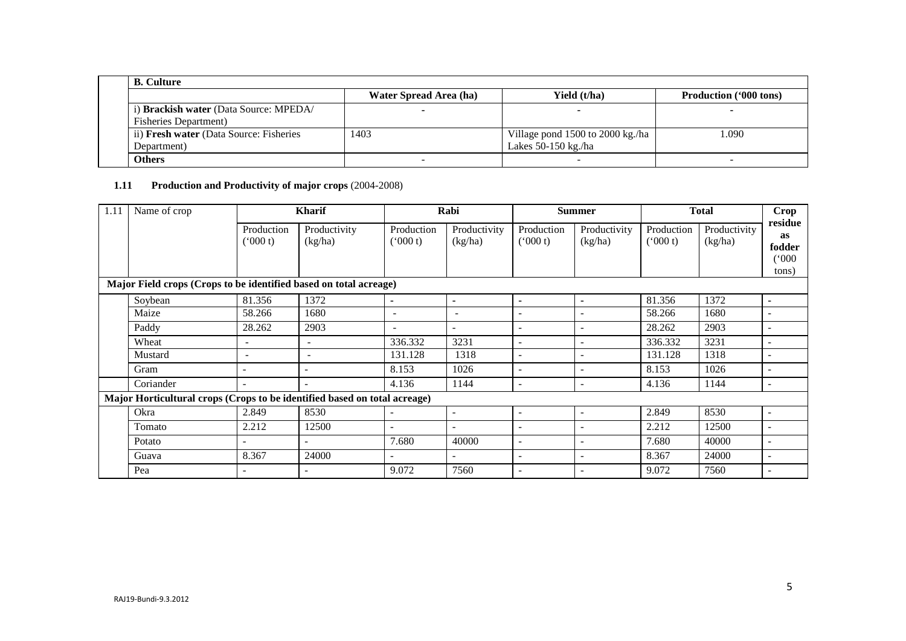| <b>B.</b> Culture                       |                        |                                  |                               |  |  |  |  |  |
|-----------------------------------------|------------------------|----------------------------------|-------------------------------|--|--|--|--|--|
|                                         | Water Spread Area (ha) | Yield (t/ha)                     | <b>Production</b> ('000 tons) |  |  |  |  |  |
| i) Brackish water (Data Source: MPEDA/  |                        |                                  |                               |  |  |  |  |  |
| <b>Fisheries Department</b> )           |                        |                                  |                               |  |  |  |  |  |
| ii) Fresh water (Data Source: Fisheries | 1403                   | Village pond 1500 to 2000 kg./ha | 1.090                         |  |  |  |  |  |
| Department)                             |                        | Lakes $50-150$ kg./ha            |                               |  |  |  |  |  |
| Others                                  |                        |                                  |                               |  |  |  |  |  |

# **1.11 Production and Productivity of major crops** (2004-2008)

| 1.11 | Name of crop                                                              | <b>Kharif</b>            |                          | Rabi                     |                          | <b>Summer</b>            |                         | <b>Total</b>          |                         | <b>Crop</b>                                      |
|------|---------------------------------------------------------------------------|--------------------------|--------------------------|--------------------------|--------------------------|--------------------------|-------------------------|-----------------------|-------------------------|--------------------------------------------------|
|      |                                                                           | Production<br>(000 t)    | Productivity<br>(kg/ha)  | Production<br>(5000 t)   | Productivity<br>(kg/ha)  | Production<br>(000 t)    | Productivity<br>(kg/ha) | Production<br>(000 t) | Productivity<br>(kg/ha) | residue<br><b>as</b><br>fodder<br>(000)<br>tons) |
|      | Major Field crops (Crops to be identified based on total acreage)         |                          |                          |                          |                          |                          |                         |                       |                         |                                                  |
|      | Soybean                                                                   | 81.356                   | 1372                     | ۰.                       | $\blacksquare$           | $\blacksquare$           | ۰.                      | 81.356                | 1372                    | $\blacksquare$                                   |
|      | Maize                                                                     | 58.266                   | 1680                     | $\overline{\phantom{a}}$ | $\sim$                   | $\overline{\phantom{a}}$ | ۰                       | 58.266                | 1680                    | $\overline{\phantom{a}}$                         |
|      | Paddy                                                                     | 28.262                   | 2903                     | $\overline{\phantom{a}}$ | $\overline{\phantom{a}}$ | $\overline{\phantom{a}}$ | ۰                       | 28.262                | 2903                    | $\overline{\phantom{a}}$                         |
|      | Wheat                                                                     | $\overline{\phantom{a}}$ | $\overline{\phantom{a}}$ | 336.332                  | 3231                     | $\overline{\phantom{0}}$ |                         | 336.332               | 3231                    | $\overline{\phantom{a}}$                         |
|      | Mustard                                                                   | $\sim$                   | $\overline{\phantom{a}}$ | 131.128                  | 1318                     | $\blacksquare$           | ۰                       | 131.128               | 1318                    | $\overline{\phantom{a}}$                         |
|      | Gram                                                                      | $\overline{\phantom{0}}$ |                          | 8.153                    | 1026                     | $\overline{a}$           | ۰                       | 8.153                 | 1026                    | $\overline{\phantom{a}}$                         |
|      | Coriander                                                                 | $\overline{\phantom{0}}$ |                          | 4.136                    | 1144                     | $\overline{\phantom{a}}$ | ۰                       | 4.136                 | 1144                    | $\overline{\phantom{a}}$                         |
|      | Major Horticultural crops (Crops to be identified based on total acreage) |                          |                          |                          |                          |                          |                         |                       |                         |                                                  |
|      | Okra                                                                      | 2.849                    | 8530                     |                          | $\sim$                   | $\blacksquare$           | $\blacksquare$          | 2.849                 | 8530                    | $\overline{\phantom{a}}$                         |
|      | Tomato                                                                    | 2.212                    | 12500                    |                          |                          | $\overline{\phantom{0}}$ |                         | 2.212                 | 12500                   | $\overline{\phantom{a}}$                         |
|      | Potato                                                                    |                          |                          | 7.680                    | 40000                    | $\blacksquare$           |                         | 7.680                 | 40000                   | $\overline{\phantom{a}}$                         |
|      | Guava                                                                     | 8.367                    | 24000                    |                          |                          | $\overline{a}$           |                         | 8.367                 | 24000                   | $\overline{\phantom{a}}$                         |
|      | Pea                                                                       | $\overline{\phantom{a}}$ |                          | 9.072                    | 7560                     | $\blacksquare$           |                         | 9.072                 | 7560                    | $\overline{\phantom{a}}$                         |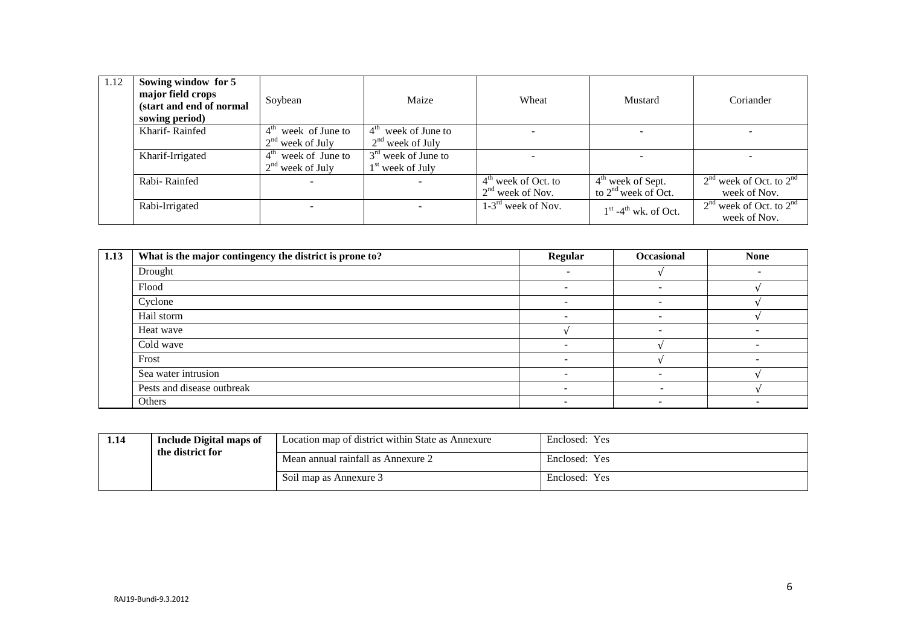| 1.12 | Sowing window for 5<br>major field crops<br>(start and end of normal<br>sowing period) | Soybean               | Maize                 | Wheat                   | Mustard                 | Coriander                                   |
|------|----------------------------------------------------------------------------------------|-----------------------|-----------------------|-------------------------|-------------------------|---------------------------------------------|
|      | Kharif-Rainfed                                                                         | $4th$ week of June to | $4th$ week of June to |                         |                         |                                             |
|      |                                                                                        | $2nd$ week of July    | $2nd$ week of July    |                         |                         |                                             |
|      | Kharif-Irrigated                                                                       | $4th$ week of June to | $3rd$ week of June to |                         |                         |                                             |
|      |                                                                                        | $2nd$ week of July    | $1st$ week of July    |                         |                         |                                             |
|      | Rabi-Rainfed                                                                           |                       |                       | $4th$ week of Oct. to   | $4th$ week of Sept.     | $2nd$ week of Oct. to $2nd$                 |
|      |                                                                                        |                       |                       | $2nd$ week of Nov.      | to $2nd$ week of Oct.   | week of Nov.                                |
|      | Rabi-Irrigated                                                                         |                       |                       | $1-3^{rd}$ week of Nov. | $1st - 4th$ wk. of Oct. | $2nd$ week of Oct. to $2nd$<br>week of Nov. |

| 1.13 | What is the major contingency the district is prone to? | Regular                  | Occasional               | <b>None</b> |
|------|---------------------------------------------------------|--------------------------|--------------------------|-------------|
|      | Drought                                                 | $\sim$                   |                          |             |
|      | Flood                                                   | -                        |                          |             |
|      | Cyclone                                                 |                          |                          |             |
|      | Hail storm                                              | -                        | $\overline{\phantom{0}}$ |             |
|      | Heat wave                                               |                          | $\overline{\phantom{0}}$ |             |
|      | Cold wave                                               |                          |                          |             |
|      | Frost                                                   |                          |                          |             |
|      | Sea water intrusion                                     | $\overline{\phantom{0}}$ | $\overline{\phantom{0}}$ |             |
|      | Pests and disease outbreak                              |                          |                          |             |
|      | Others                                                  | $\overline{\phantom{0}}$ | -                        |             |

| 1.14 | Include Digital maps of<br>the district for | Location map of district within State as Annexure | Enclosed: Yes |
|------|---------------------------------------------|---------------------------------------------------|---------------|
|      |                                             | Mean annual rainfall as Annexure 2                | Enclosed: Yes |
|      |                                             | Soil map as Annexure 3                            | Enclosed: Yes |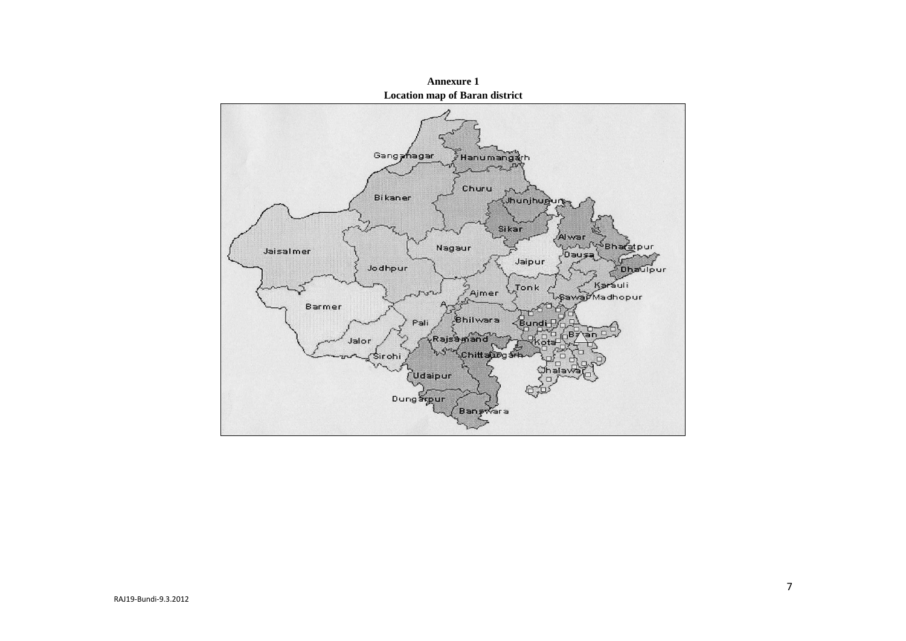

**Annexure 1**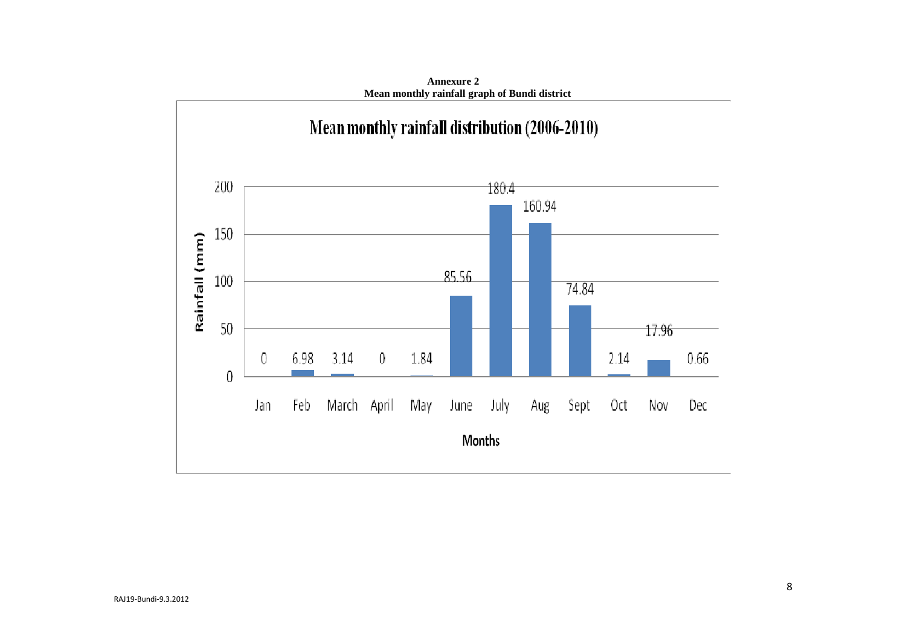

**Annexure 2 Mean monthly rainfall graph of Bundi district**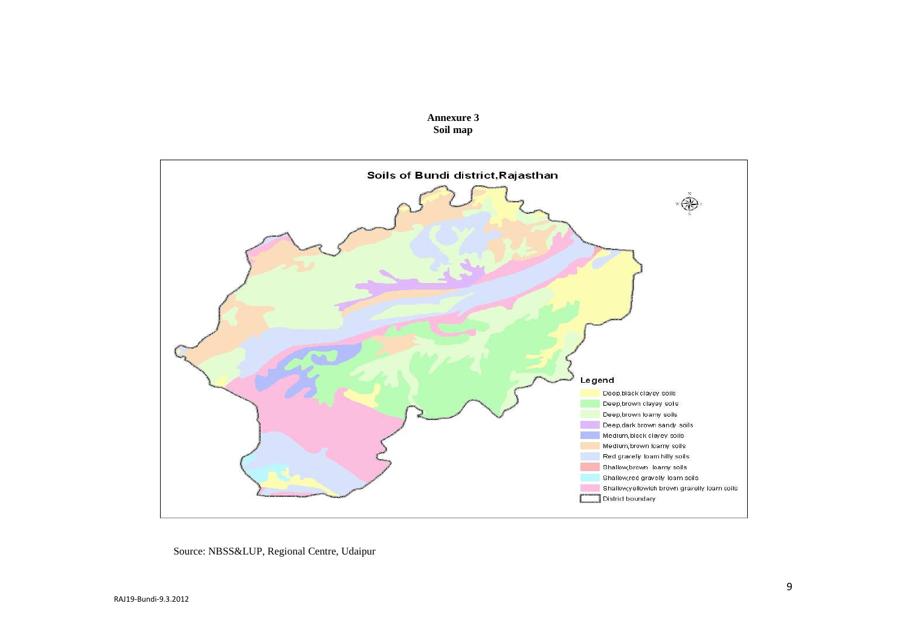



Source: NBSS&LUP, Regional Centre, Udaipur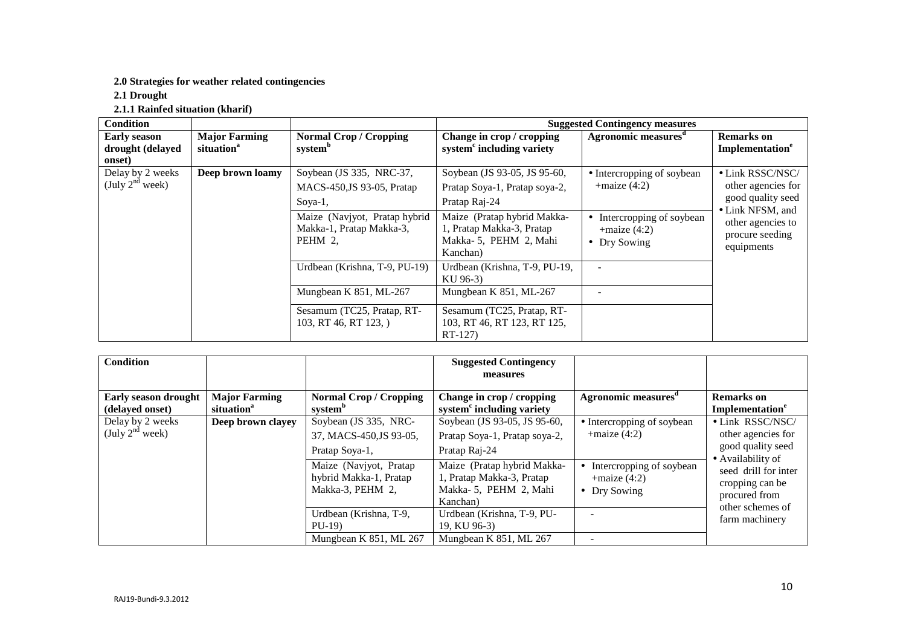# **2.0 Strategies for weather related contingencies**

**2.1 Drought** 

**2.1.1 Rainfed situation (kharif)** 

| <b>Condition</b>                                  |                                                |                                                                      | <b>Suggested Contingency measures</b>                                                         |                                                               |                                                                        |
|---------------------------------------------------|------------------------------------------------|----------------------------------------------------------------------|-----------------------------------------------------------------------------------------------|---------------------------------------------------------------|------------------------------------------------------------------------|
| <b>Early season</b><br>drought (delayed<br>onset) | <b>Major Farming</b><br>situation <sup>a</sup> | <b>Normal Crop / Cropping</b><br>system <sup>b</sup>                 | Change in crop / cropping<br>system <sup>c</sup> including variety                            | Agronomic measures <sup>d</sup>                               | <b>Remarks</b> on<br>Implementation <sup>e</sup>                       |
| Delay by 2 weeks<br>(July $2^{nd}$ week)          | Deep brown loamy                               | Soybean (JS 335, NRC-37,<br>MACS-450, JS 93-05, Pratap<br>Soya-1,    | Soybean (JS 93-05, JS 95-60,<br>Pratap Soya-1, Pratap soya-2,<br>Pratap Raj-24                | • Intercropping of soybean<br>$+$ maize (4:2)                 | • Link RSSC/NSC/<br>other agencies for<br>good quality seed            |
|                                                   |                                                | Maize (Navjyot, Pratap hybrid<br>Makka-1, Pratap Makka-3,<br>PEHM 2, | Maize (Pratap hybrid Makka-<br>1, Pratap Makka-3, Pratap<br>Makka-5, PEHM 2, Mahi<br>Kanchan) | Intercropping of soybean<br>$+$ maize $(4:2)$<br>• Dry Sowing | • Link NFSM, and<br>other agencies to<br>procure seeding<br>equipments |
|                                                   |                                                | Urdbean (Krishna, T-9, PU-19)                                        | Urdbean (Krishna, T-9, PU-19,<br>KU 96-3)                                                     | $\overline{\phantom{a}}$                                      |                                                                        |
|                                                   |                                                | Mungbean K 851, ML-267                                               | Mungbean K 851, ML-267                                                                        |                                                               |                                                                        |
|                                                   |                                                | Sesamum (TC25, Pratap, RT-<br>103, RT 46, RT 123, )                  | Sesamum (TC25, Pratap, RT-<br>103, RT 46, RT 123, RT 125,<br>RT-127)                          |                                                               |                                                                        |

| <b>Condition</b>                               |                                                |                                                                      | <b>Suggested Contingency</b><br>measures                                                      |                                                             |                                                                                  |
|------------------------------------------------|------------------------------------------------|----------------------------------------------------------------------|-----------------------------------------------------------------------------------------------|-------------------------------------------------------------|----------------------------------------------------------------------------------|
| <b>Early season drought</b><br>(delayed onset) | <b>Major Farming</b><br>situation <sup>a</sup> | <b>Normal Crop / Cropping</b><br>system <sup>b</sup>                 | Change in crop / cropping<br>system <sup>c</sup> including variety                            | Agronomic measures <sup>o</sup>                             | <b>Remarks</b> on<br>Implementation <sup>e</sup>                                 |
| Delay by 2 weeks<br>(July $2^{nd}$ week)       | Deep brown clayey                              | Soybean (JS 335, NRC-<br>37, MACS-450, JS 93-05,<br>Pratap Soya-1,   | Soybean (JS 93-05, JS 95-60,<br>Pratap Soya-1, Pratap soya-2,<br>Pratap Raj-24                | • Intercropping of soybean<br>$+$ maize (4:2)               | • Link RSSC/NSC/<br>other agencies for<br>good quality seed<br>• Availability of |
|                                                |                                                | Maize (Navjyot, Pratap<br>hybrid Makka-1, Pratap<br>Makka-3, PEHM 2, | Maize (Pratap hybrid Makka-<br>1, Pratap Makka-3, Pratap<br>Makka-5, PEHM 2, Mahi<br>Kanchan) | Intercropping of soybean<br>$+$ maize (4:2)<br>• Dry Sowing | seed drill for inter<br>cropping can be<br>procured from<br>other schemes of     |
|                                                |                                                | Urdbean (Krishna, T-9,<br>$PU-19$<br>Mungbean K 851, ML 267          | Urdbean (Krishna, T-9, PU-<br>19. KU 96-3)<br>Mungbean K 851, ML 267                          |                                                             | farm machinery                                                                   |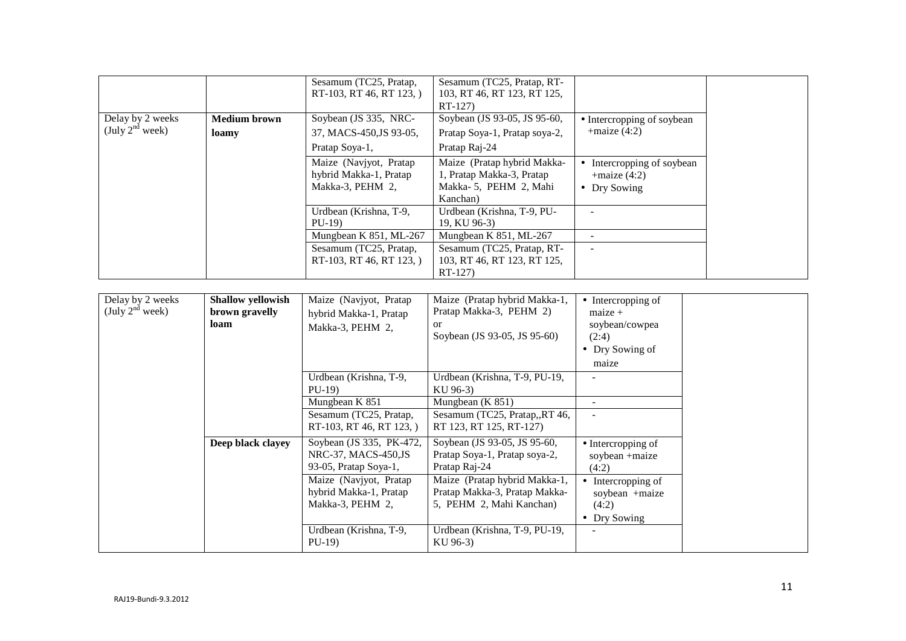|                                          |                              | Sesamum (TC25, Pratap,<br>RT-103, RT 46, RT 123, )                   | Sesamum (TC25, Pratap, RT-<br>103, RT 46, RT 123, RT 125,<br>$RT-127$                         |                                                               |
|------------------------------------------|------------------------------|----------------------------------------------------------------------|-----------------------------------------------------------------------------------------------|---------------------------------------------------------------|
| Delay by 2 weeks<br>(July $2^{nd}$ week) | <b>Medium brown</b><br>loamy | Soybean (JS 335, NRC-<br>37, MACS-450, JS 93-05,<br>Pratap Soya-1,   | Soybean (JS 93-05, JS 95-60,<br>Pratap Soya-1, Pratap soya-2,<br>Pratap Raj-24                | • Intercropping of soybean<br>$+$ maize (4:2)                 |
|                                          |                              | Maize (Navjyot, Pratap<br>hybrid Makka-1, Pratap<br>Makka-3, PEHM 2, | Maize (Pratap hybrid Makka-<br>1, Pratap Makka-3, Pratap<br>Makka-5, PEHM 2, Mahi<br>Kanchan) | Intercropping of soybean<br>$+$ maize $(4:2)$<br>• Dry Sowing |
|                                          |                              | Urdbean (Krishna, T-9,<br>$PU-19$                                    | Urdbean (Krishna, T-9, PU-<br>19, KU 96-3)                                                    |                                                               |
|                                          |                              | Mungbean K 851, ML-267                                               | Mungbean K 851, ML-267                                                                        |                                                               |
|                                          |                              | Sesamum (TC25, Pratap,<br>RT-103, RT 46, RT 123, )                   | Sesamum (TC25, Pratap, RT-<br>103, RT 46, RT 123, RT 125,<br>$RT-127$                         |                                                               |

| Delay by 2 weeks<br>(July $2^{nd}$ week) | Shallow yellowish<br>brown gravelly<br>loam | Maize (Navjyot, Pratap<br>hybrid Makka-1, Pratap<br>Makka-3, PEHM 2,     | Maize (Pratap hybrid Makka-1,<br>Pratap Makka-3, PEHM 2)<br><sub>or</sub><br>Soybean (JS 93-05, JS 95-60) | $\bullet$ Intercropping of<br>$maize +$<br>soybean/cowpea<br>(2:4)<br>• Dry Sowing of<br>maize |
|------------------------------------------|---------------------------------------------|--------------------------------------------------------------------------|-----------------------------------------------------------------------------------------------------------|------------------------------------------------------------------------------------------------|
|                                          |                                             | Urdbean (Krishna, T-9,<br>$PU-19$                                        | Urdbean (Krishna, T-9, PU-19,<br>KU 96-3)                                                                 |                                                                                                |
|                                          |                                             | Mungbean K 851<br>Sesamum (TC25, Pratap,<br>RT-103, RT 46, RT 123, )     | Mungbean $(K 851)$<br>Sesamum (TC25, Pratap,,RT 46,<br>RT 123, RT 125, RT-127)                            |                                                                                                |
|                                          | Deep black clayey                           | Soybean (JS 335, PK-472,<br>NRC-37, MACS-450,JS<br>93-05, Pratap Soya-1, | Soybean (JS 93-05, JS 95-60,<br>Pratap Soya-1, Pratap soya-2,<br>Pratap Raj-24                            | $\bullet$ Intercropping of<br>soybean +maize<br>(4:2)                                          |
|                                          |                                             | Maize (Navjyot, Pratap<br>hybrid Makka-1, Pratap<br>Makka-3, PEHM 2,     | Maize (Pratap hybrid Makka-1,<br>Pratap Makka-3, Pratap Makka-<br>5, PEHM 2, Mahi Kanchan)                | • Intercropping of<br>soybean +maize<br>(4:2)                                                  |
|                                          |                                             | Urdbean (Krishna, T-9,                                                   | Urdbean (Krishna, T-9, PU-19,                                                                             | • Dry Sowing                                                                                   |
|                                          |                                             | $PU-19$                                                                  | KU 96-3)                                                                                                  |                                                                                                |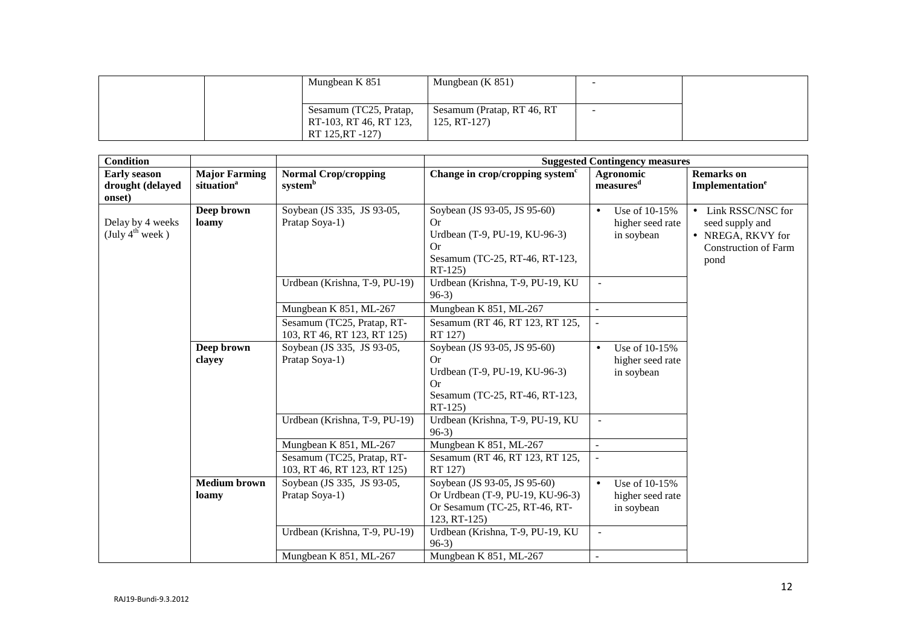|  | Mungbean K 851         | Mungbean $(K 851)$         |  |
|--|------------------------|----------------------------|--|
|  |                        |                            |  |
|  | Sesamum (TC25, Pratap, | Sesamum (Pratap, RT 46, RT |  |
|  | RT-103, RT 46, RT 123, | $125, RT-127)$             |  |
|  | RT 125, RT -127)       |                            |  |

| <b>Condition</b>            |                              |                                                           | <b>Suggested Contingency measures</b>                                                                                  |                                                              |                                           |  |  |
|-----------------------------|------------------------------|-----------------------------------------------------------|------------------------------------------------------------------------------------------------------------------------|--------------------------------------------------------------|-------------------------------------------|--|--|
| <b>Early season</b>         | <b>Major Farming</b>         | <b>Normal Crop/cropping</b>                               | Change in crop/cropping system <sup>c</sup>                                                                            | Agronomic                                                    | <b>Remarks</b> on                         |  |  |
| drought (delayed<br>onset)  | situation <sup>a</sup>       | system <sup>b</sup>                                       |                                                                                                                        | measures <sup>d</sup>                                        | Implementation <sup>e</sup>               |  |  |
| Delay by 4 weeks            | Deep brown<br>loamy          | Soybean (JS 335, JS 93-05,<br>Pratap Soya-1)              | Soybean (JS 93-05, JS 95-60)<br>Or                                                                                     | Use of 10-15%<br>$\bullet$<br>higher seed rate               | • Link RSSC/NSC for<br>seed supply and    |  |  |
| (July $4^{\text{th}}$ week) |                              |                                                           | Urdbean (T-9, PU-19, KU-96-3)<br><b>Or</b>                                                                             | in soybean                                                   | • NREGA, RKVY for<br>Construction of Farm |  |  |
|                             |                              |                                                           | Sesamum (TC-25, RT-46, RT-123,<br>RT-125)                                                                              |                                                              | pond                                      |  |  |
|                             |                              | Urdbean (Krishna, T-9, PU-19)                             | Urdbean (Krishna, T-9, PU-19, KU<br>$96-3)$                                                                            |                                                              |                                           |  |  |
|                             |                              | Mungbean K 851, ML-267                                    | Mungbean K 851, ML-267                                                                                                 | $\mathbf{r}$                                                 |                                           |  |  |
|                             |                              | Sesamum (TC25, Pratap, RT-<br>103, RT 46, RT 123, RT 125) | Sesamum (RT 46, RT 123, RT 125,<br>RT 127)                                                                             | $\blacksquare$                                               |                                           |  |  |
|                             | Deep brown<br>clayey         | Soybean (JS 335, JS 93-05,<br>Pratap Soya-1)              | Soybean (JS 93-05, JS 95-60)<br>Or<br>Urdbean (T-9, PU-19, KU-96-3)<br>0r<br>Sesamum (TC-25, RT-46, RT-123,<br>RT-125) | Use of 10-15%<br>$\bullet$<br>higher seed rate<br>in soybean |                                           |  |  |
|                             |                              | Urdbean (Krishna, T-9, PU-19)                             | Urdbean (Krishna, T-9, PU-19, KU<br>$96-3)$                                                                            |                                                              |                                           |  |  |
|                             |                              | Mungbean K 851, ML-267                                    | Mungbean K 851, ML-267                                                                                                 | $\mathbf{r}$                                                 |                                           |  |  |
|                             |                              | Sesamum (TC25, Pratap, RT-<br>103, RT 46, RT 123, RT 125) | Sesamum (RT 46, RT 123, RT 125,<br>RT 127)                                                                             |                                                              |                                           |  |  |
|                             | <b>Medium</b> brown<br>loamy | Soybean (JS 335, JS 93-05,<br>Pratap Soya-1)              | Soybean (JS 93-05, JS 95-60)<br>Or Urdbean (T-9, PU-19, KU-96-3)<br>Or Sesamum (TC-25, RT-46, RT-<br>123, RT-125)      | Use of 10-15%<br>$\bullet$<br>higher seed rate<br>in soybean |                                           |  |  |
|                             |                              | Urdbean (Krishna, T-9, PU-19)                             | Urdbean (Krishna, T-9, PU-19, KU<br>$96-3)$                                                                            | $\blacksquare$                                               |                                           |  |  |
|                             |                              | Mungbean K 851, ML-267                                    | Mungbean K 851, ML-267                                                                                                 |                                                              |                                           |  |  |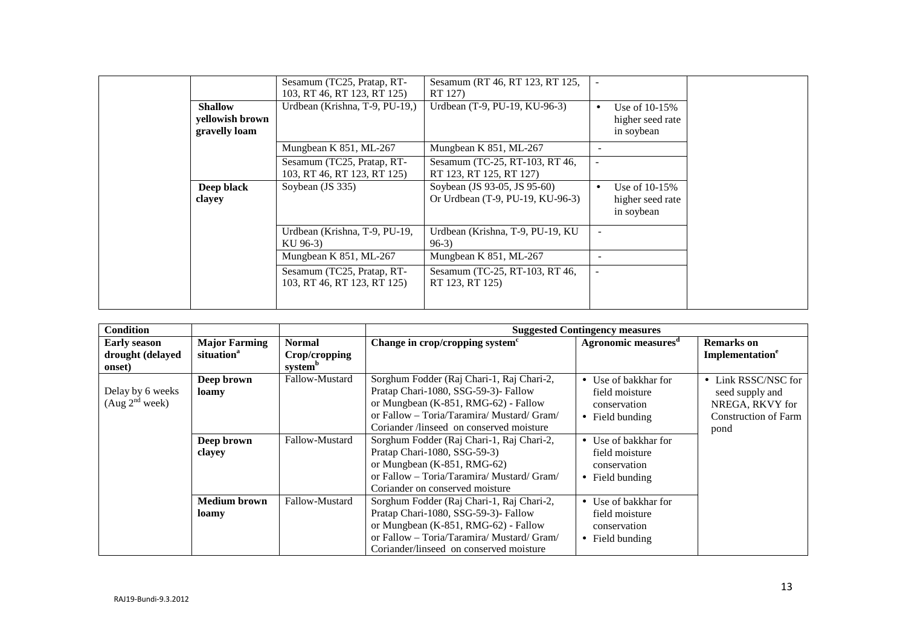|                                                    | Sesamum (TC25, Pratap, RT-<br>103, RT 46, RT 123, RT 125) | Sesamum (RT 46, RT 123, RT 125,<br>RT 127)                       |                          |                                                   |
|----------------------------------------------------|-----------------------------------------------------------|------------------------------------------------------------------|--------------------------|---------------------------------------------------|
| <b>Shallow</b><br>yellowish brown<br>gravelly loam | Urdbean (Krishna, T-9, PU-19,)                            | Urdbean (T-9, PU-19, KU-96-3)                                    | $\bullet$                | Use of $10-15%$<br>higher seed rate<br>in soybean |
|                                                    | Mungbean K 851, ML-267                                    | Mungbean K 851, ML-267                                           |                          |                                                   |
|                                                    | Sesamum (TC25, Pratap, RT-<br>103, RT 46, RT 123, RT 125) | Sesamum (TC-25, RT-103, RT 46,<br>RT 123, RT 125, RT 127)        | $\overline{\phantom{0}}$ |                                                   |
| Deep black<br>clayey                               | Soybean (JS 335)                                          | Soybean (JS 93-05, JS 95-60)<br>Or Urdbean (T-9, PU-19, KU-96-3) | $\bullet$                | Use of $10-15%$<br>higher seed rate<br>in soybean |
|                                                    | Urdbean (Krishna, T-9, PU-19,<br>KU 96-3)                 | Urdbean (Krishna, T-9, PU-19, KU<br>$96-3)$                      | $\overline{\phantom{a}}$ |                                                   |
|                                                    | Mungbean K 851, ML-267                                    | Mungbean K 851, ML-267                                           | $\overline{\phantom{0}}$ |                                                   |
|                                                    | Sesamum (TC25, Pratap, RT-<br>103, RT 46, RT 123, RT 125) | Sesamum (TC-25, RT-103, RT 46,<br>RT 123, RT 125)                |                          |                                                   |

| <b>Condition</b>                                  |                                                |                                                       | <b>Suggested Contingency measures</b>                                                                                                                                                                               |                                                                                   |                                                                                                  |  |  |
|---------------------------------------------------|------------------------------------------------|-------------------------------------------------------|---------------------------------------------------------------------------------------------------------------------------------------------------------------------------------------------------------------------|-----------------------------------------------------------------------------------|--------------------------------------------------------------------------------------------------|--|--|
| <b>Early season</b><br>drought (delayed<br>onset) | <b>Major Farming</b><br>situation <sup>a</sup> | <b>Normal</b><br>Crop/cropping<br>system <sup>b</sup> | Change in crop/cropping system <sup>c</sup>                                                                                                                                                                         | Agronomic measures <sup>d</sup>                                                   | <b>Remarks</b> on<br>Implementation <sup>e</sup>                                                 |  |  |
| Delay by 6 weeks<br>(Aug 2 <sup>nd</sup> week)    | Deep brown<br>loamy                            | Fallow-Mustard                                        | Sorghum Fodder (Raj Chari-1, Raj Chari-2,<br>Pratap Chari-1080, SSG-59-3)- Fallow<br>or Mungbean (K-851, RMG-62) - Fallow<br>or Fallow - Toria/Taramira/ Mustard/ Gram/<br>Coriander /linseed on conserved moisture | • Use of bakkhar for<br>field moisture<br>conservation<br>$\bullet$ Field bunding | • Link RSSC/NSC for<br>seed supply and<br>NREGA, RKVY for<br><b>Construction of Farm</b><br>pond |  |  |
|                                                   | Deep brown<br>clayey                           | Fallow-Mustard                                        | Sorghum Fodder (Raj Chari-1, Raj Chari-2,<br>Pratap Chari-1080, SSG-59-3)<br>or Mungbean (K-851, RMG-62)<br>or Fallow – Toria/Taramira/ Mustard/ Gram/<br>Coriander on conserved moisture                           | • Use of bakkhar for<br>field moisture<br>conservation<br>$\bullet$ Field bunding |                                                                                                  |  |  |
|                                                   | Medium brown<br>loamy                          | Fallow-Mustard                                        | Sorghum Fodder (Raj Chari-1, Raj Chari-2,<br>Pratap Chari-1080, SSG-59-3)- Fallow<br>or Mungbean (K-851, RMG-62) - Fallow<br>or Fallow – Toria/Taramira/ Mustard/ Gram/<br>Coriander/linseed on conserved moisture  | • Use of bakkhar for<br>field moisture<br>conservation<br>• Field bunding         |                                                                                                  |  |  |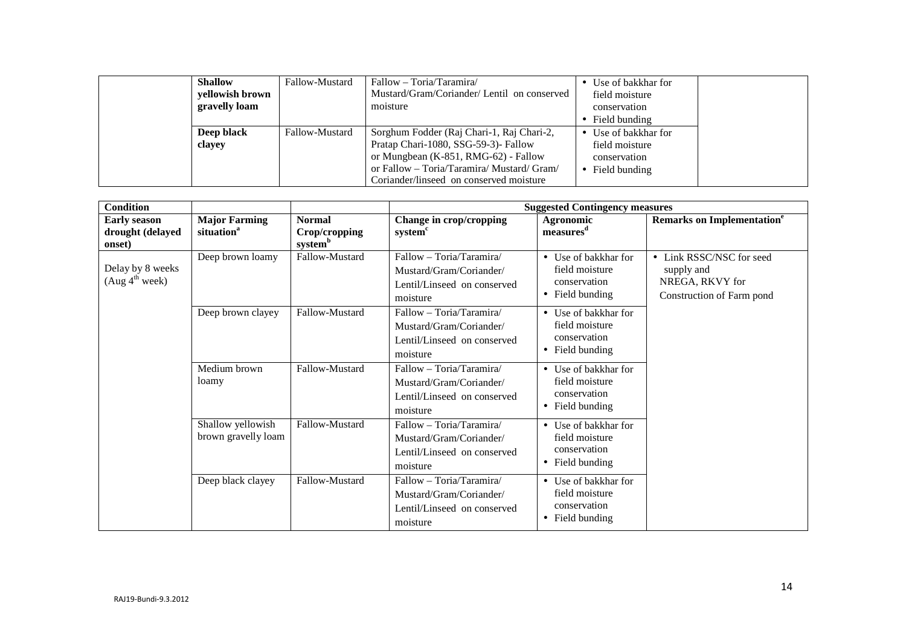| <b>Shallow</b>  | Fallow-Mustard | Fallow – Toria/Taramira/                   | • Use of bakkhar for    |
|-----------------|----------------|--------------------------------------------|-------------------------|
| yellowish brown |                | Mustard/Gram/Coriander/Lentil on conserved | field moisture          |
| gravelly loam   |                | moisture                                   | conservation            |
|                 |                |                                            | $\bullet$ Field bunding |
| Deep black      | Fallow-Mustard | Sorghum Fodder (Raj Chari-1, Raj Chari-2,  | • Use of bakkhar for    |
| clayey          |                | Pratap Chari-1080, SSG-59-3)- Fallow       | field moisture          |
|                 |                | or Mungbean $(K-851, RMG-62)$ - Fallow     | conservation            |
|                 |                | or Fallow – Toria/Taramira/ Mustard/ Gram/ | $\bullet$ Field bunding |
|                 |                | Coriander/linseed on conserved moisture    |                         |

| <b>Condition</b>                                  |                                                |                                                       | <b>Suggested Contingency measures</b>                                                          |                                                                           |                                                                                        |  |  |
|---------------------------------------------------|------------------------------------------------|-------------------------------------------------------|------------------------------------------------------------------------------------------------|---------------------------------------------------------------------------|----------------------------------------------------------------------------------------|--|--|
| <b>Early season</b><br>drought (delayed<br>onset) | <b>Major Farming</b><br>situation <sup>a</sup> | <b>Normal</b><br>Crop/cropping<br>system <sup>b</sup> | Change in crop/cropping<br>system <sup>c</sup>                                                 | Agronomic<br>measures <sup>d</sup>                                        | <b>Remarks on Implementation<sup>e</sup></b>                                           |  |  |
| Delay by 8 weeks<br>(Aug 4 <sup>th</sup> week)    | Deep brown loamy                               | Fallow-Mustard                                        | Fallow - Toria/Taramira/<br>Mustard/Gram/Coriander/<br>Lentil/Linseed on conserved<br>moisture | • Use of bakkhar for<br>field moisture<br>conservation<br>• Field bunding | • Link RSSC/NSC for seed<br>supply and<br>NREGA, RKVY for<br>Construction of Farm pond |  |  |
|                                                   | Deep brown clayey                              | Fallow-Mustard                                        | Fallow - Toria/Taramira/<br>Mustard/Gram/Coriander/<br>Lentil/Linseed on conserved<br>moisture | • Use of bakkhar for<br>field moisture<br>conservation<br>• Field bunding |                                                                                        |  |  |
|                                                   | Medium brown<br>loamy                          | Fallow-Mustard                                        | Fallow - Toria/Taramira/<br>Mustard/Gram/Coriander/<br>Lentil/Linseed on conserved<br>moisture | • Use of bakkhar for<br>field moisture<br>conservation<br>• Field bunding |                                                                                        |  |  |
|                                                   | Shallow yellowish<br>brown gravelly loam       | Fallow-Mustard                                        | Fallow - Toria/Taramira/<br>Mustard/Gram/Coriander/<br>Lentil/Linseed on conserved<br>moisture | • Use of bakkhar for<br>field moisture<br>conservation<br>• Field bunding |                                                                                        |  |  |
|                                                   | Deep black clayey                              | Fallow-Mustard                                        | Fallow - Toria/Taramira/<br>Mustard/Gram/Coriander/<br>Lentil/Linseed on conserved<br>moisture | • Use of bakkhar for<br>field moisture<br>conservation<br>• Field bunding |                                                                                        |  |  |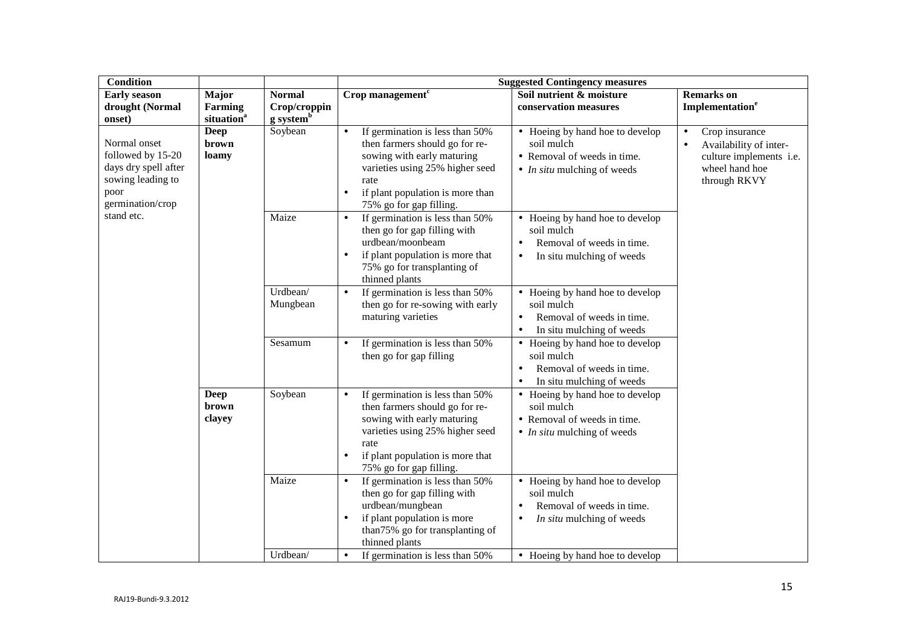| <b>Condition</b>                                                                                           |                                                   |                                                        | <b>Suggested Contingency measures</b>                                                                                                                                                                                               |                                                                                                                                   |                                                                                                                                 |  |
|------------------------------------------------------------------------------------------------------------|---------------------------------------------------|--------------------------------------------------------|-------------------------------------------------------------------------------------------------------------------------------------------------------------------------------------------------------------------------------------|-----------------------------------------------------------------------------------------------------------------------------------|---------------------------------------------------------------------------------------------------------------------------------|--|
| <b>Early season</b><br>drought (Normal<br>onset)                                                           | Major<br><b>Farming</b><br>situation <sup>a</sup> | <b>Normal</b><br>Crop/croppin<br>g system <sup>b</sup> | Crop management $c$                                                                                                                                                                                                                 | Soil nutrient & moisture<br>conservation measures                                                                                 | <b>Remarks</b> on<br>Implementation <sup>e</sup>                                                                                |  |
| Normal onset<br>followed by 15-20<br>days dry spell after<br>sowing leading to<br>poor<br>germination/crop | <b>Deep</b><br>brown<br>loamy                     | Soybean                                                | If germination is less than 50%<br>$\bullet$<br>then farmers should go for re-<br>sowing with early maturing<br>varieties using 25% higher seed<br>rate<br>if plant population is more than<br>$\bullet$<br>75% go for gap filling. | • Hoeing by hand hoe to develop<br>soil mulch<br>• Removal of weeds in time.<br>$\bullet$ <i>In situ</i> mulching of weeds        | Crop insurance<br>$\bullet$<br>Availability of inter-<br>$\bullet$<br>culture implements i.e.<br>wheel hand hoe<br>through RKVY |  |
| stand etc.                                                                                                 |                                                   | Maize                                                  | If germination is less than 50%<br>$\bullet$<br>then go for gap filling with<br>urdbean/moonbeam<br>if plant population is more that<br>75% go for transplanting of<br>thinned plants                                               | • Hoeing by hand hoe to develop<br>soil mulch<br>Removal of weeds in time.<br>$\bullet$<br>In situ mulching of weeds<br>$\bullet$ |                                                                                                                                 |  |
|                                                                                                            |                                                   | Urdbean/<br>Mungbean                                   | If germination is less than 50%<br>$\bullet$<br>then go for re-sowing with early<br>maturing varieties                                                                                                                              | • Hoeing by hand hoe to develop<br>soil mulch<br>Removal of weeds in time.<br>$\bullet$<br>In situ mulching of weeds<br>$\bullet$ |                                                                                                                                 |  |
|                                                                                                            |                                                   | Sesamum                                                | If germination is less than 50%<br>$\bullet$<br>then go for gap filling                                                                                                                                                             | • Hoeing by hand hoe to develop<br>soil mulch<br>Removal of weeds in time.<br>$\bullet$<br>In situ mulching of weeds<br>$\bullet$ |                                                                                                                                 |  |
|                                                                                                            | <b>Deep</b><br>brown<br>clayey                    | Soybean                                                | If germination is less than 50%<br>then farmers should go for re-<br>sowing with early maturing<br>varieties using 25% higher seed<br>rate<br>if plant population is more that<br>75% go for gap filling.                           | • Hoeing by hand hoe to develop<br>soil mulch<br>• Removal of weeds in time.<br>$\bullet$ <i>In situ</i> mulching of weeds        |                                                                                                                                 |  |
|                                                                                                            |                                                   | Maize<br>Urdbean/                                      | If germination is less than 50%<br>$\bullet$<br>then go for gap filling with<br>urdbean/mungbean<br>if plant population is more<br>than75% go for transplanting of<br>thinned plants                                                | • Hoeing by hand hoe to develop<br>soil mulch<br>Removal of weeds in time.<br>$\bullet$<br>In situ mulching of weeds<br>$\bullet$ |                                                                                                                                 |  |
|                                                                                                            |                                                   |                                                        | If germination is less than 50%                                                                                                                                                                                                     | • Hoeing by hand hoe to develop                                                                                                   |                                                                                                                                 |  |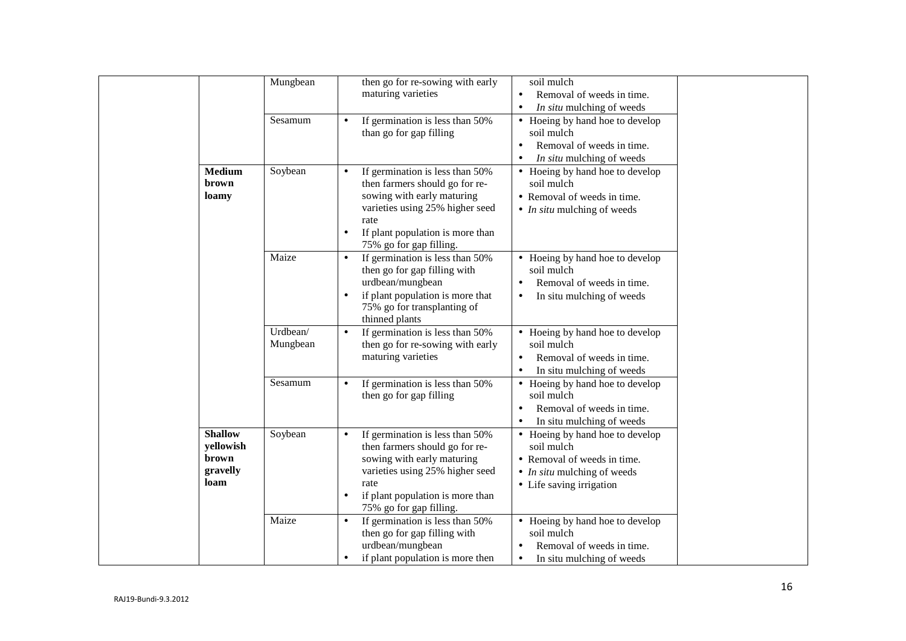|                                                          | Mungbean<br>Sesamum  | soil mulch<br>then go for re-sowing with early<br>maturing varieties<br>Removal of weeds in time.<br>$\bullet$<br>In situ mulching of weeds<br>$\bullet$<br>If germination is less than 50%<br>• Hoeing by hand hoe to develop<br>than go for gap filling<br>soil mulch<br>Removal of weeds in time.<br>$\bullet$<br>In situ mulching of weeds<br>$\bullet$                      |
|----------------------------------------------------------|----------------------|----------------------------------------------------------------------------------------------------------------------------------------------------------------------------------------------------------------------------------------------------------------------------------------------------------------------------------------------------------------------------------|
| Medium<br>brown<br>loamy                                 | Soybean              | If germination is less than 50%<br>• Hoeing by hand hoe to develop<br>$\bullet$<br>soil mulch<br>then farmers should go for re-<br>sowing with early maturing<br>• Removal of weeds in time.<br>varieties using 25% higher seed<br>$\bullet$ <i>In situ</i> mulching of weeds<br>rate<br>If plant population is more than<br>75% go for gap filling.                             |
|                                                          | Maize                | If germination is less than 50%<br>• Hoeing by hand hoe to develop<br>$\bullet$<br>then go for gap filling with<br>soil mulch<br>urdbean/mungbean<br>Removal of weeds in time.<br>$\bullet$<br>if plant population is more that<br>In situ mulching of weeds<br>$\bullet$<br>75% go for transplanting of<br>thinned plants                                                       |
|                                                          | Urdbean/<br>Mungbean | If germination is less than 50%<br>• Hoeing by hand hoe to develop<br>$\bullet$<br>then go for re-sowing with early<br>soil mulch<br>maturing varieties<br>Removal of weeds in time.<br>$\bullet$<br>In situ mulching of weeds<br>$\bullet$                                                                                                                                      |
|                                                          | Sesamum              | If germination is less than 50%<br>• Hoeing by hand hoe to develop<br>then go for gap filling<br>soil mulch<br>Removal of weeds in time.<br>$\bullet$<br>In situ mulching of weeds                                                                                                                                                                                               |
| <b>Shallow</b><br>yellowish<br>brown<br>gravelly<br>loam | Soybean              | If germination is less than 50%<br>• Hoeing by hand hoe to develop<br>$\bullet$<br>then farmers should go for re-<br>soil mulch<br>sowing with early maturing<br>• Removal of weeds in time.<br>varieties using 25% higher seed<br>$\bullet$ <i>In situ</i> mulching of weeds<br>rate<br>• Life saving irrigation<br>if plant population is more than<br>75% go for gap filling. |
|                                                          | Maize                | If germination is less than 50%<br>• Hoeing by hand hoe to develop<br>$\bullet$<br>then go for gap filling with<br>soil mulch<br>urdbean/mungbean<br>Removal of weeds in time.<br>if plant population is more then<br>In situ mulching of weeds<br>$\bullet$                                                                                                                     |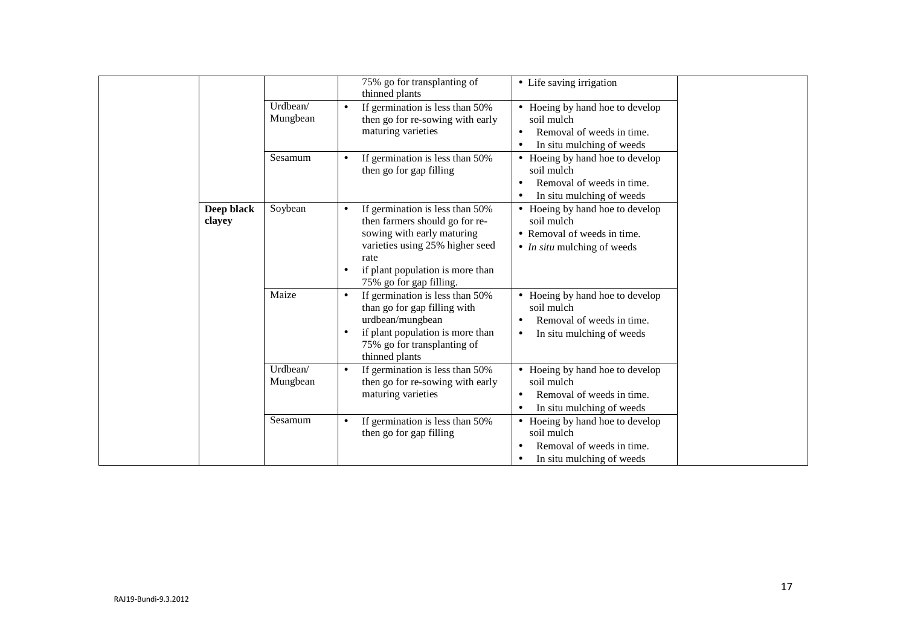|                      |                      | 75% go for transplanting of<br>thinned plants                                                                                                                                                                                       | • Life saving irrigation                                                                                           |
|----------------------|----------------------|-------------------------------------------------------------------------------------------------------------------------------------------------------------------------------------------------------------------------------------|--------------------------------------------------------------------------------------------------------------------|
|                      | Urdbean/<br>Mungbean | If germination is less than 50%<br>$\bullet$<br>then go for re-sowing with early<br>maturing varieties<br>٠<br>$\bullet$                                                                                                            | • Hoeing by hand hoe to develop<br>soil mulch<br>Removal of weeds in time.<br>In situ mulching of weeds            |
|                      | Sesamum              | If germination is less than 50%<br>then go for gap filling                                                                                                                                                                          | • Hoeing by hand hoe to develop<br>soil mulch<br>Removal of weeds in time.<br>In situ mulching of weeds            |
| Deep black<br>clayey | Soybean              | If germination is less than 50%<br>$\bullet$<br>then farmers should go for re-<br>sowing with early maturing<br>varieties using 25% higher seed<br>rate<br>if plant population is more than<br>$\bullet$<br>75% go for gap filling. | • Hoeing by hand hoe to develop<br>soil mulch<br>• Removal of weeds in time.<br>• <i>In situ</i> mulching of weeds |
|                      | Maize                | If germination is less than 50%<br>$\bullet$<br>than go for gap filling with<br>urdbean/mungbean<br>if plant population is more than<br>$\bullet$<br>75% go for transplanting of<br>thinned plants                                  | • Hoeing by hand hoe to develop<br>soil mulch<br>Removal of weeds in time.<br>In situ mulching of weeds            |
|                      | Urdbean/<br>Mungbean | If germination is less than 50%<br>$\bullet$<br>then go for re-sowing with early<br>maturing varieties<br>$\bullet$                                                                                                                 | • Hoeing by hand hoe to develop<br>soil mulch<br>Removal of weeds in time.<br>In situ mulching of weeds            |
|                      | Sesamum              | If germination is less than 50%<br>$\bullet$<br>then go for gap filling<br>٠                                                                                                                                                        | • Hoeing by hand hoe to develop<br>soil mulch<br>Removal of weeds in time.<br>In situ mulching of weeds            |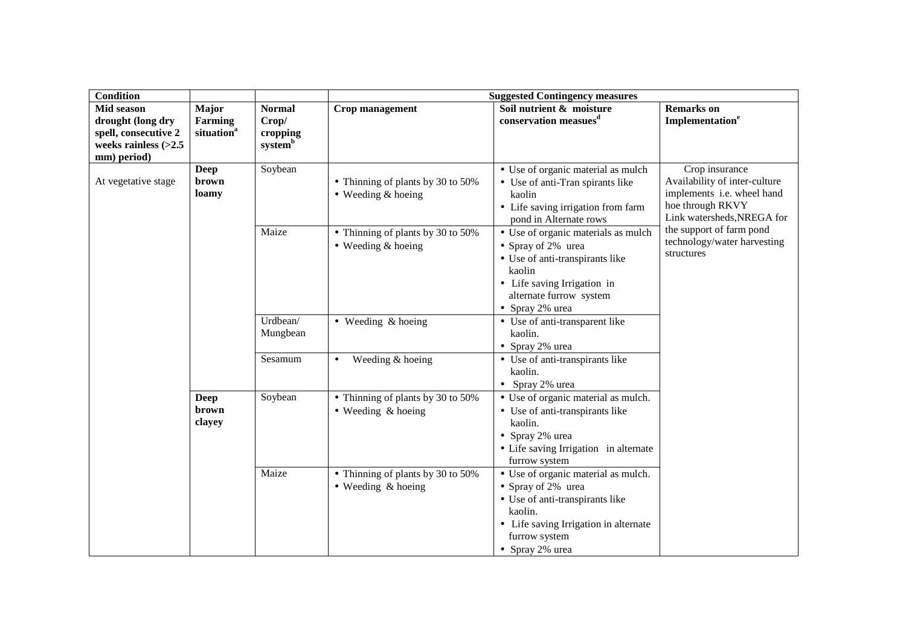| <b>Condition</b>                                                                                 |                                                   |                                                           | <b>Suggested Contingency measures</b>                           |                                                                                                                                                                                      |                                                                                                                                 |  |
|--------------------------------------------------------------------------------------------------|---------------------------------------------------|-----------------------------------------------------------|-----------------------------------------------------------------|--------------------------------------------------------------------------------------------------------------------------------------------------------------------------------------|---------------------------------------------------------------------------------------------------------------------------------|--|
| Mid season<br>drought (long dry<br>spell, consecutive 2<br>weeks rainless $(>2.5$<br>mm) period) | Major<br><b>Farming</b><br>situation <sup>a</sup> | <b>Normal</b><br>Crop/<br>cropping<br>system <sup>b</sup> | Crop management                                                 | Soil nutrient & moisture<br>conservation measues <sup>d</sup>                                                                                                                        | <b>Remarks</b> on<br>Implementation <sup>e</sup>                                                                                |  |
| At vegetative stage                                                                              | <b>Deep</b><br>brown<br>loamy                     | Soybean                                                   | • Thinning of plants by 30 to 50%<br>$\bullet$ Weeding & hoeing | • Use of organic material as mulch<br>• Use of anti-Tran spirants like<br>kaolin<br>• Life saving irrigation from farm<br>pond in Alternate rows                                     | Crop insurance<br>Availability of inter-culture<br>implements i.e. wheel hand<br>hoe through RKVY<br>Link watersheds, NREGA for |  |
|                                                                                                  |                                                   | Maize                                                     | • Thinning of plants by 30 to 50%<br>$\bullet$ Weeding & hoeing | • Use of organic materials as mulch<br>• Spray of 2% urea<br>• Use of anti-transpirants like<br>kaolin<br>• Life saving Irrigation in<br>alternate furrow system<br>• Spray 2% urea  | the support of farm pond<br>technology/water harvesting<br>structures                                                           |  |
|                                                                                                  |                                                   | Urdbean/<br>Mungbean                                      | $\bullet$ Weeding & hoeing                                      | • Use of anti-transparent like<br>kaolin.<br>• Spray 2% urea                                                                                                                         |                                                                                                                                 |  |
|                                                                                                  |                                                   | Sesamum                                                   | Weeding & hoeing<br>٠                                           | • Use of anti-transpirants like<br>kaolin.<br>• Spray 2% urea                                                                                                                        |                                                                                                                                 |  |
|                                                                                                  | <b>Deep</b><br>brown<br>clayey                    | Soybean                                                   | • Thinning of plants by 30 to 50%<br>$\bullet$ Weeding & hoeing | • Use of organic material as mulch.<br>• Use of anti-transpirants like<br>kaolin.<br>• Spray 2% urea<br>• Life saving Irrigation in alternate<br>furrow system                       |                                                                                                                                 |  |
|                                                                                                  |                                                   | Maize                                                     | • Thinning of plants by 30 to 50%<br>$\bullet$ Weeding & hoeing | • Use of organic material as mulch.<br>• Spray of 2% urea<br>• Use of anti-transpirants like<br>kaolin.<br>• Life saving Irrigation in alternate<br>furrow system<br>• Spray 2% urea |                                                                                                                                 |  |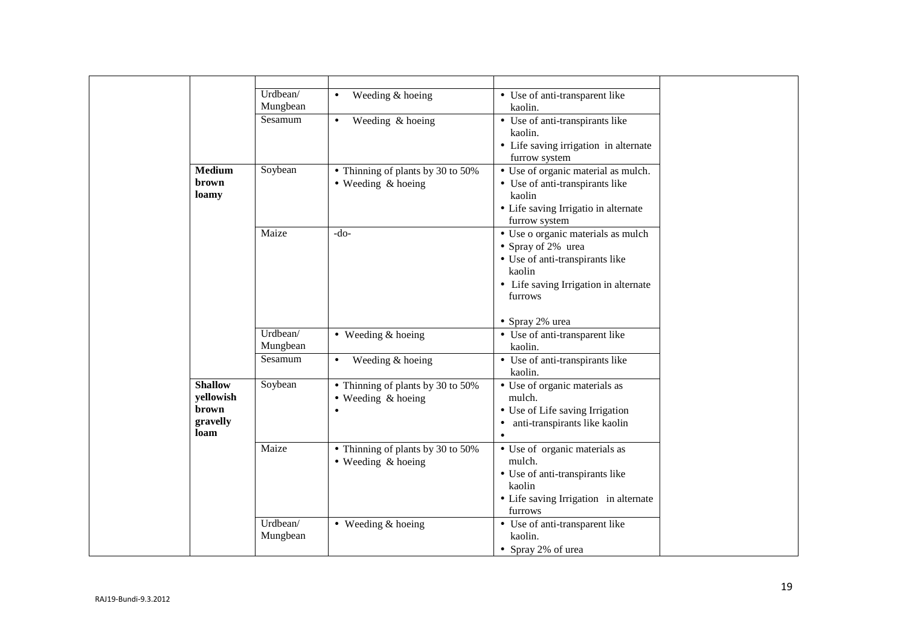|      |                                                  | Urdbean/<br>Mungbean | Weeding & hoeing<br>$\bullet$                                        | • Use of anti-transparent like<br>kaolin.                                                                                                                 |  |
|------|--------------------------------------------------|----------------------|----------------------------------------------------------------------|-----------------------------------------------------------------------------------------------------------------------------------------------------------|--|
|      |                                                  | Sesamum              | Weeding & hoeing<br>$\bullet$                                        | • Use of anti-transpirants like<br>kaolin.                                                                                                                |  |
|      |                                                  |                      |                                                                      | • Life saving irrigation in alternate<br>furrow system                                                                                                    |  |
|      | <b>Medium</b><br>brown<br>loamy                  | Soybean              | • Thinning of plants by 30 to 50%<br>$\bullet$ Weeding & hoeing      | • Use of organic material as mulch.<br>• Use of anti-transpirants like<br>kaolin<br>• Life saving Irrigatio in alternate<br>furrow system                 |  |
|      |                                                  | Maize                | $-do-$                                                               | • Use o organic materials as mulch<br>• Spray of 2% urea<br>• Use of anti-transpirants like<br>kaolin<br>• Life saving Irrigation in alternate<br>furrows |  |
|      |                                                  |                      |                                                                      | • Spray 2% urea                                                                                                                                           |  |
|      |                                                  | Urdbean/<br>Mungbean | $\bullet$ Weeding & hoeing                                           | • Use of anti-transparent like<br>kaolin.                                                                                                                 |  |
|      |                                                  | Sesamum              | Weeding & hoeing<br>$\bullet$                                        | • Use of anti-transpirants like<br>kaolin.                                                                                                                |  |
| loam | <b>Shallow</b><br>yellowish<br>brown<br>gravelly | Soybean              | • Thinning of plants by 30 to 50%<br>• Weeding & hoeing<br>$\bullet$ | • Use of organic materials as<br>mulch.<br>• Use of Life saving Irrigation<br>anti-transpirants like kaolin<br>$\bullet$<br>$\bullet$                     |  |
|      |                                                  | Maize                | • Thinning of plants by 30 to 50%<br>$\bullet$ Weeding & hoeing      | • Use of organic materials as<br>mulch.<br>• Use of anti-transpirants like<br>kaolin<br>• Life saving Irrigation in alternate<br>furrows                  |  |
|      |                                                  | Urdbean/<br>Mungbean | • Weeding & hoeing                                                   | • Use of anti-transparent like<br>kaolin.<br>• Spray 2% of urea                                                                                           |  |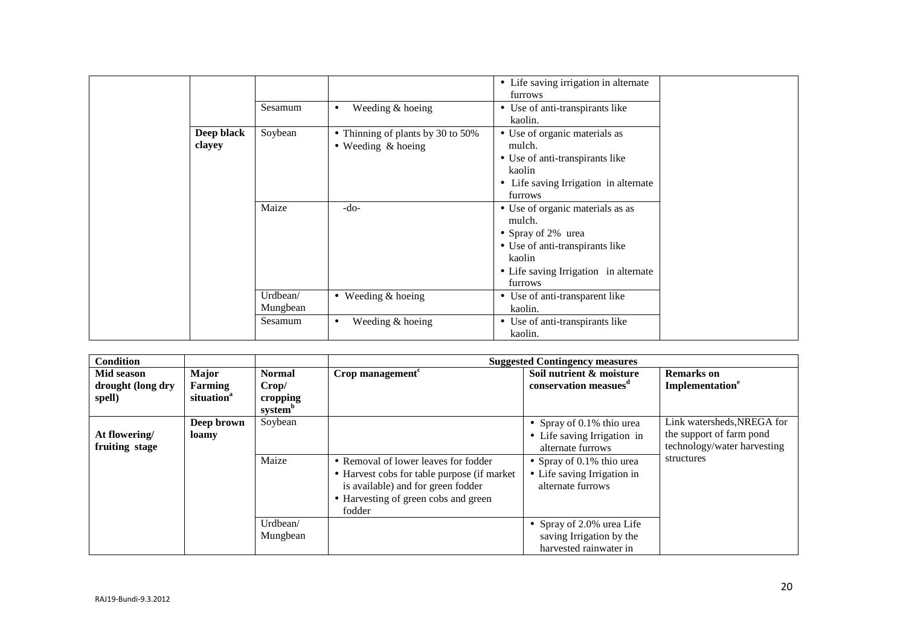|        |            | Sesamum              | Weeding & hoeing<br>$\bullet$                                   | • Life saving irrigation in alternate<br>furrows<br>• Use of anti-transpirants like<br>kaolin.                                                                    |
|--------|------------|----------------------|-----------------------------------------------------------------|-------------------------------------------------------------------------------------------------------------------------------------------------------------------|
| clayey | Deep black | Soybean              | • Thinning of plants by 30 to 50%<br>$\bullet$ Weeding & hoeing | • Use of organic materials as<br>mulch.<br>• Use of anti-transpirants like<br>kaolin<br>• Life saving Irrigation in alternate<br>furrows                          |
|        |            | Maize                | $-do-$                                                          | • Use of organic materials as as<br>mulch.<br>• Spray of 2% urea<br>• Use of anti-transpirants like<br>kaolin<br>• Life saving Irrigation in alternate<br>furrows |
|        |            | Urdbean/<br>Mungbean | $\bullet$ Weeding & hoeing                                      | • Use of anti-transparent like<br>kaolin.                                                                                                                         |
|        |            | Sesamum              | Weeding & hoeing<br>$\bullet$                                   | • Use of anti-transpirants like<br>kaolin.                                                                                                                        |

| <b>Condition</b>                          |                                                   |                                                           | <b>Suggested Contingency measures</b>                                                                                                                                       |                                                                                                                                                                   |                                                                                                     |  |
|-------------------------------------------|---------------------------------------------------|-----------------------------------------------------------|-----------------------------------------------------------------------------------------------------------------------------------------------------------------------------|-------------------------------------------------------------------------------------------------------------------------------------------------------------------|-----------------------------------------------------------------------------------------------------|--|
| Mid season<br>drought (long dry<br>spell) | <b>Major</b><br>Farming<br>situation <sup>a</sup> | <b>Normal</b><br>Crop/<br>cropping<br>system <sup>b</sup> | Crop management $c$                                                                                                                                                         | Soil nutrient & moisture<br>conservation measues <sup>d</sup>                                                                                                     | <b>Remarks</b> on<br>Implementation <sup>e</sup>                                                    |  |
| At flowering/<br>fruiting stage           | Deep brown<br>loamy                               | Soybean<br>Maize                                          | • Removal of lower leaves for fodder<br>• Harvest cobs for table purpose (if market<br>is available) and for green fodder<br>• Harvesting of green cobs and green<br>fodder | • Spray of $0.1\%$ thio urea<br>• Life saving Irrigation in<br>alternate furrows<br>• Spray of 0.1% thio urea<br>• Life saving Irrigation in<br>alternate furrows | Link watersheds, NREGA for<br>the support of farm pond<br>technology/water harvesting<br>structures |  |
|                                           |                                                   | Urdbean/<br>Mungbean                                      |                                                                                                                                                                             | • Spray of 2.0% urea Life<br>saving Irrigation by the<br>harvested rainwater in                                                                                   |                                                                                                     |  |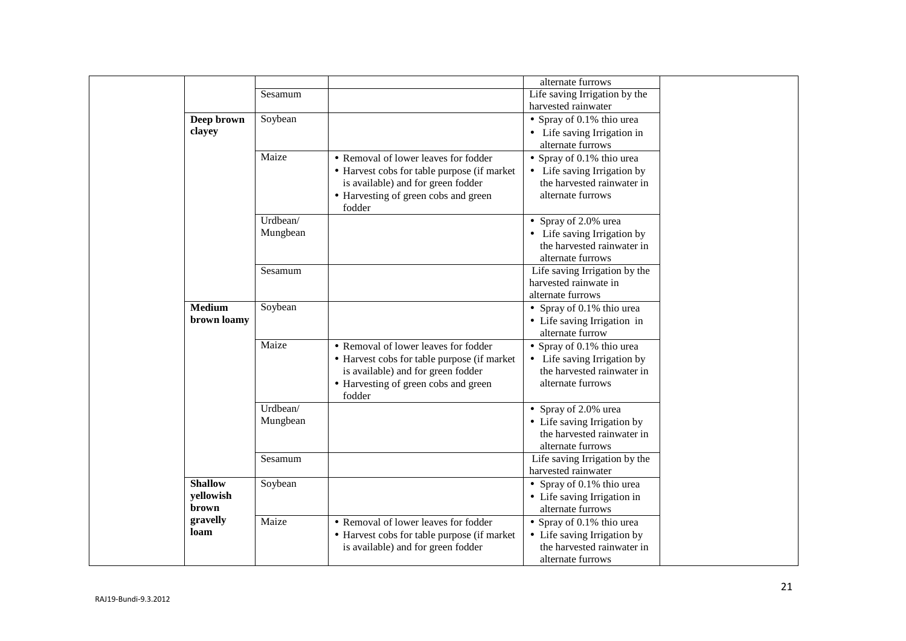|                    |          |                                                                                   | alternate furrows                                         |
|--------------------|----------|-----------------------------------------------------------------------------------|-----------------------------------------------------------|
|                    | Sesamum  |                                                                                   | Life saving Irrigation by the                             |
|                    |          |                                                                                   | harvested rainwater                                       |
| Deep brown         | Soybean  |                                                                                   | • Spray of 0.1% thio urea                                 |
| clayey             |          |                                                                                   | • Life saving Irrigation in                               |
|                    |          |                                                                                   | alternate furrows                                         |
|                    | Maize    | • Removal of lower leaves for fodder                                              | • Spray of $0.1\%$ thio urea                              |
|                    |          | • Harvest cobs for table purpose (if market                                       | • Life saving Irrigation by                               |
|                    |          | is available) and for green fodder                                                | the harvested rainwater in                                |
|                    |          | • Harvesting of green cobs and green<br>fodder                                    | alternate furrows                                         |
|                    | Urdbean/ |                                                                                   | • Spray of 2.0% urea                                      |
|                    | Mungbean |                                                                                   | • Life saving Irrigation by                               |
|                    |          |                                                                                   | the harvested rainwater in                                |
|                    |          |                                                                                   | alternate furrows                                         |
|                    | Sesamum  |                                                                                   | Life saving Irrigation by the                             |
|                    |          |                                                                                   | harvested rainwate in                                     |
|                    |          |                                                                                   | alternate furrows                                         |
| <b>Medium</b>      | Soybean  |                                                                                   | • Spray of 0.1% thio urea                                 |
| brown loamy        |          |                                                                                   | • Life saving Irrigation in                               |
|                    | Maize    |                                                                                   | alternate furrow                                          |
|                    |          | • Removal of lower leaves for fodder                                              | • Spray of 0.1% thio urea                                 |
|                    |          | • Harvest cobs for table purpose (if market                                       | • Life saving Irrigation by<br>the harvested rainwater in |
|                    |          | is available) and for green fodder                                                | alternate furrows                                         |
|                    |          | • Harvesting of green cobs and green<br>fodder                                    |                                                           |
|                    | Urdbean/ |                                                                                   | • Spray of 2.0% urea                                      |
|                    | Mungbean |                                                                                   | • Life saving Irrigation by                               |
|                    |          |                                                                                   | the harvested rainwater in                                |
|                    |          |                                                                                   | alternate furrows                                         |
|                    | Sesamum  |                                                                                   | Life saving Irrigation by the                             |
|                    |          |                                                                                   | harvested rainwater                                       |
| <b>Shallow</b>     | Soybean  |                                                                                   | • Spray of 0.1% thio urea                                 |
| yellowish<br>brown |          |                                                                                   | • Life saving Irrigation in                               |
| gravelly           | Maize    |                                                                                   | alternate furrows                                         |
| loam               |          | • Removal of lower leaves for fodder                                              | • Spray of 0.1% thio urea                                 |
|                    |          |                                                                                   |                                                           |
|                    |          | • Harvest cobs for table purpose (if market<br>is available) and for green fodder | • Life saving Irrigation by<br>the harvested rainwater in |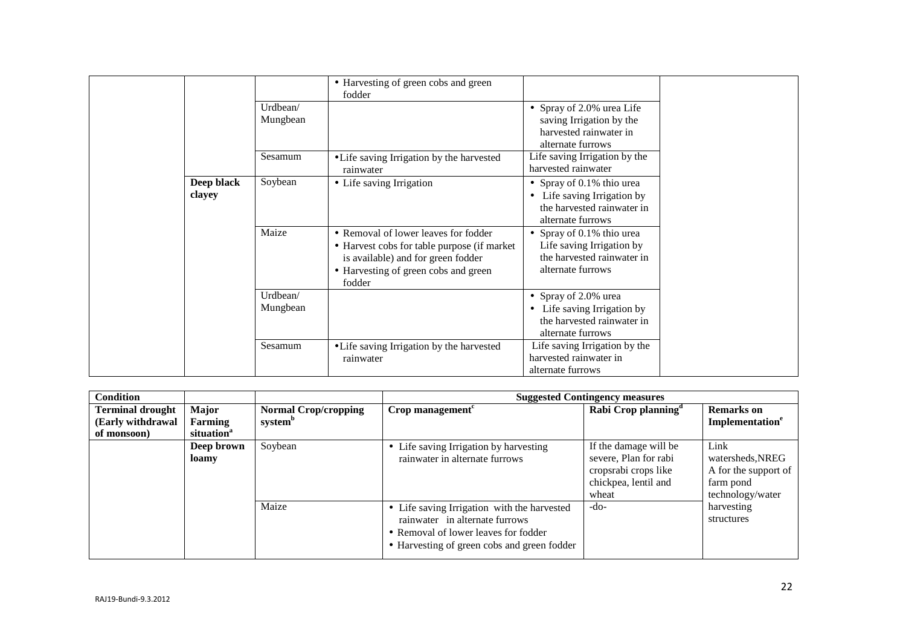|                      | Urdbean/<br>Mungbean | • Harvesting of green cobs and green<br>fodder                                                                                                                              | • Spray of 2.0% urea Life<br>saving Irrigation by the                                                                  |
|----------------------|----------------------|-----------------------------------------------------------------------------------------------------------------------------------------------------------------------------|------------------------------------------------------------------------------------------------------------------------|
|                      | Sesamum              | • Life saving Irrigation by the harvested<br>rainwater                                                                                                                      | harvested rainwater in<br>alternate furrows<br>Life saving Irrigation by the<br>harvested rainwater                    |
| Deep black<br>clayey | Soybean              | • Life saving Irrigation                                                                                                                                                    | • Spray of 0.1% thio urea<br>Life saving Irrigation by<br>$\bullet$<br>the harvested rainwater in<br>alternate furrows |
|                      | Maize                | • Removal of lower leaves for fodder<br>• Harvest cobs for table purpose (if market<br>is available) and for green fodder<br>• Harvesting of green cobs and green<br>fodder | • Spray of 0.1% thio urea<br>Life saving Irrigation by<br>the harvested rainwater in<br>alternate furrows              |
|                      | Urdbean/<br>Mungbean |                                                                                                                                                                             | • Spray of 2.0% urea<br>Life saving Irrigation by<br>$\bullet$<br>the harvested rainwater in<br>alternate furrows      |
|                      | Sesamum              | • Life saving Irrigation by the harvested<br>rainwater                                                                                                                      | Life saving Irrigation by the<br>harvested rainwater in<br>alternate furrows                                           |

| <b>Condition</b>        |                        |                             | <b>Suggested Contingency measures</b>                                                                                                                                |                                                                                                         |                                                                                   |  |  |
|-------------------------|------------------------|-----------------------------|----------------------------------------------------------------------------------------------------------------------------------------------------------------------|---------------------------------------------------------------------------------------------------------|-----------------------------------------------------------------------------------|--|--|
| <b>Terminal drought</b> | <b>Major</b>           | <b>Normal Crop/cropping</b> | $Crop$ management <sup><math>c</math></sup>                                                                                                                          | Rabi Crop planning <sup>a</sup>                                                                         | <b>Remarks</b> on                                                                 |  |  |
| (Early withdrawal       | Farming                | system <sup>b</sup>         |                                                                                                                                                                      |                                                                                                         | Implementation <sup>e</sup>                                                       |  |  |
| of monsoon)             | situation <sup>a</sup> |                             |                                                                                                                                                                      |                                                                                                         |                                                                                   |  |  |
|                         | Deep brown<br>loamy    | Soybean                     | • Life saving Irrigation by harvesting<br>rainwater in alternate furrows                                                                                             | If the damage will be<br>severe, Plan for rabi<br>cropsrabi crops like<br>chickpea, lentil and<br>wheat | Link<br>watersheds, NREG<br>A for the support of<br>farm pond<br>technology/water |  |  |
|                         |                        | Maize                       | • Life saving Irrigation with the harvested<br>rainwater in alternate furrows<br>• Removal of lower leaves for fodder<br>• Harvesting of green cobs and green fodder | -do-                                                                                                    | harvesting<br>structures                                                          |  |  |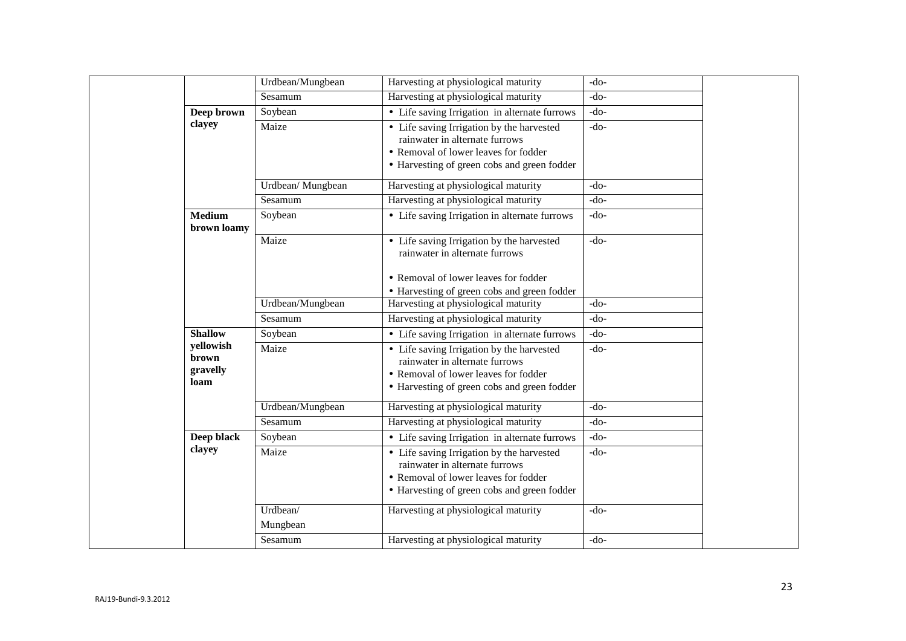|                                        | Urdbean/Mungbean  | Harvesting at physiological maturity                                                                                                                               | $-do-$ |
|----------------------------------------|-------------------|--------------------------------------------------------------------------------------------------------------------------------------------------------------------|--------|
|                                        | Sesamum           | Harvesting at physiological maturity                                                                                                                               | $-do-$ |
| Deep brown                             | Soybean           | • Life saving Irrigation in alternate furrows                                                                                                                      | $-do-$ |
| clayey                                 | Maize             | • Life saving Irrigation by the harvested<br>rainwater in alternate furrows<br>• Removal of lower leaves for fodder<br>• Harvesting of green cobs and green fodder | $-do-$ |
|                                        | Urdbean/ Mungbean | Harvesting at physiological maturity                                                                                                                               | $-do-$ |
|                                        | Sesamum           | Harvesting at physiological maturity                                                                                                                               | $-do-$ |
| <b>Medium</b><br>brown loamy           | Soybean           | • Life saving Irrigation in alternate furrows                                                                                                                      | $-do-$ |
|                                        | Maize             | • Life saving Irrigation by the harvested<br>rainwater in alternate furrows                                                                                        | $-do-$ |
|                                        |                   | • Removal of lower leaves for fodder<br>• Harvesting of green cobs and green fodder                                                                                |        |
|                                        | Urdbean/Mungbean  | Harvesting at physiological maturity                                                                                                                               | $-do-$ |
|                                        | Sesamum           | Harvesting at physiological maturity                                                                                                                               | $-do-$ |
| <b>Shallow</b>                         | Soybean           | • Life saving Irrigation in alternate furrows                                                                                                                      | $-do-$ |
| yellowish<br>brown<br>gravelly<br>loam | Maize             | • Life saving Irrigation by the harvested<br>rainwater in alternate furrows<br>• Removal of lower leaves for fodder<br>• Harvesting of green cobs and green fodder | $-do-$ |
|                                        | Urdbean/Mungbean  | Harvesting at physiological maturity                                                                                                                               | $-do-$ |
|                                        | Sesamum           | Harvesting at physiological maturity                                                                                                                               | $-do-$ |
| Deep black                             | Soybean           | • Life saving Irrigation in alternate furrows                                                                                                                      | $-do-$ |
| clayey                                 | Maize             | • Life saving Irrigation by the harvested<br>rainwater in alternate furrows<br>• Removal of lower leaves for fodder<br>• Harvesting of green cobs and green fodder | $-do-$ |
|                                        | Urdbean/          | Harvesting at physiological maturity                                                                                                                               | $-do-$ |
|                                        | Mungbean          |                                                                                                                                                                    |        |
|                                        | Sesamum           | Harvesting at physiological maturity                                                                                                                               | $-do-$ |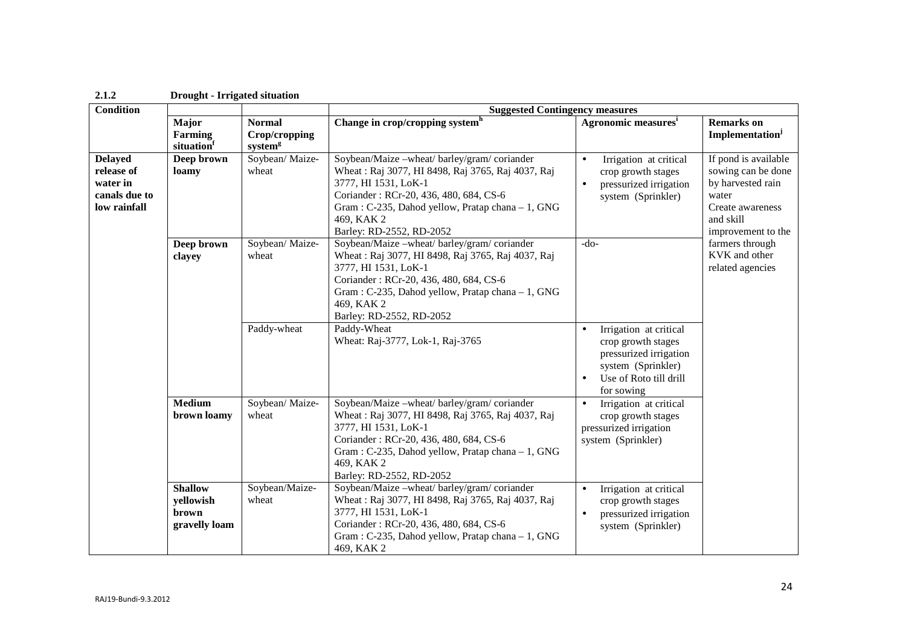| 2.1.2                                                                     | <b>Drought - Irrigated situation</b>                  |                                                       |                                                                                                                                                                                                                                                                   |                                                                                                                                                                |                                                                                                                                 |  |  |  |
|---------------------------------------------------------------------------|-------------------------------------------------------|-------------------------------------------------------|-------------------------------------------------------------------------------------------------------------------------------------------------------------------------------------------------------------------------------------------------------------------|----------------------------------------------------------------------------------------------------------------------------------------------------------------|---------------------------------------------------------------------------------------------------------------------------------|--|--|--|
| <b>Condition</b>                                                          |                                                       |                                                       |                                                                                                                                                                                                                                                                   | <b>Suggested Contingency measures</b>                                                                                                                          |                                                                                                                                 |  |  |  |
|                                                                           | Major<br>Farming<br>situation                         | <b>Normal</b><br>Crop/cropping<br>system <sup>g</sup> | Change in crop/cropping system <sup>h</sup>                                                                                                                                                                                                                       | Agronomic measures <sup>i</sup>                                                                                                                                | <b>Remarks</b> on<br>Implementation <sup>j</sup>                                                                                |  |  |  |
| <b>Delayed</b><br>release of<br>water in<br>canals due to<br>low rainfall | Deep brown<br>loamy                                   | Soybean/ Maize-<br>wheat                              | Soybean/Maize -wheat/ barley/gram/ coriander<br>Wheat: Raj 3077, HI 8498, Raj 3765, Raj 4037, Raj<br>3777, HI 1531, LoK-1<br>Coriander: RCr-20, 436, 480, 684, CS-6<br>Gram: C-235, Dahod yellow, Pratap chana - 1, GNG<br>469, KAK 2<br>Barley: RD-2552, RD-2052 | Irrigation at critical<br>$\bullet$<br>crop growth stages<br>pressurized irrigation<br>$\bullet$<br>system (Sprinkler)                                         | If pond is available<br>sowing can be done<br>by harvested rain<br>water<br>Create awareness<br>and skill<br>improvement to the |  |  |  |
|                                                                           | Deep brown<br>wheat<br>clayey<br>Paddy-wheat          | Soybean/ Maize-                                       | Soybean/Maize -wheat/ barley/gram/ coriander<br>Wheat: Raj 3077, HI 8498, Raj 3765, Raj 4037, Raj<br>3777, HI 1531, LoK-1<br>Coriander: RCr-20, 436, 480, 684, CS-6<br>Gram: C-235, Dahod yellow, Pratap chana - 1, GNG<br>469, KAK 2<br>Barley: RD-2552, RD-2052 | $-do-$                                                                                                                                                         | farmers through<br>KVK and other<br>related agencies                                                                            |  |  |  |
|                                                                           |                                                       |                                                       | Paddy-Wheat<br>Wheat: Raj-3777, Lok-1, Raj-3765                                                                                                                                                                                                                   | Irrigation at critical<br>$\bullet$<br>crop growth stages<br>pressurized irrigation<br>system (Sprinkler)<br>Use of Roto till drill<br>$\bullet$<br>for sowing |                                                                                                                                 |  |  |  |
|                                                                           | <b>Medium</b><br>brown loamy                          | Soybean/ Maize-<br>wheat                              | Soybean/Maize -wheat/ barley/gram/ coriander<br>Wheat: Raj 3077, HI 8498, Raj 3765, Raj 4037, Raj<br>3777, HI 1531, LoK-1<br>Coriander: RCr-20, 436, 480, 684, CS-6<br>Gram: C-235, Dahod yellow, Pratap chana - 1, GNG<br>469, KAK 2<br>Barley: RD-2552, RD-2052 | Irrigation at critical<br>$\bullet$<br>crop growth stages<br>pressurized irrigation<br>system (Sprinkler)                                                      |                                                                                                                                 |  |  |  |
|                                                                           | <b>Shallow</b><br>yellowish<br>brown<br>gravelly loam | Soybean/Maize-<br>wheat                               | Soybean/Maize -wheat/ barley/gram/ coriander<br>Wheat: Raj 3077, HI 8498, Raj 3765, Raj 4037, Raj<br>3777, HI 1531, LoK-1<br>Coriander: RCr-20, 436, 480, 684, CS-6<br>Gram: C-235, Dahod yellow, Pratap chana - 1, GNG<br>469, KAK 2                             | Irrigation at critical<br>$\bullet$<br>crop growth stages<br>pressurized irrigation<br>$\bullet$<br>system (Sprinkler)                                         |                                                                                                                                 |  |  |  |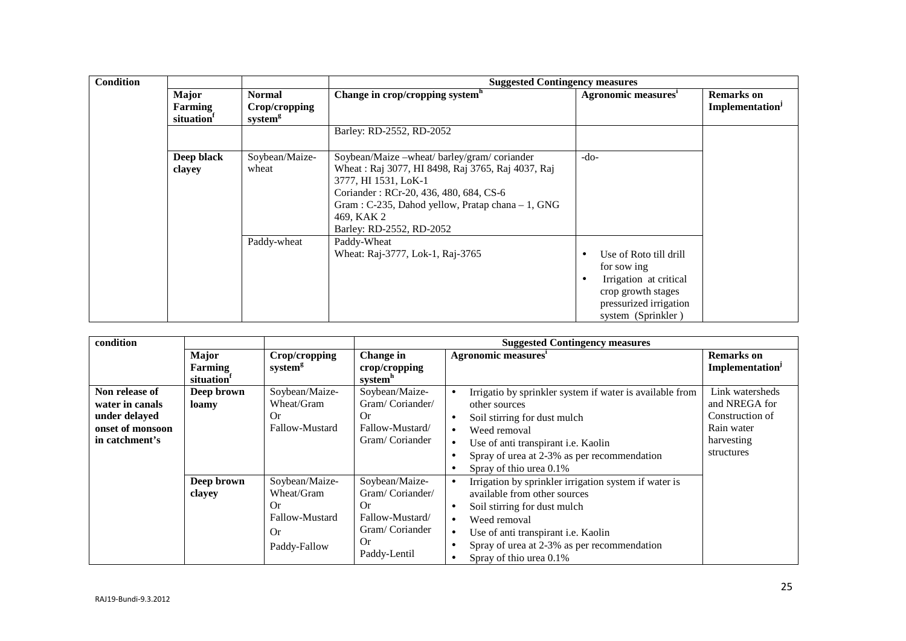| <b>Condition</b> |                                            |                                                       | <b>Suggested Contingency measures</b>                                                                                                                                                                                                                              |                                                                                                                                                    |                                                  |  |  |
|------------------|--------------------------------------------|-------------------------------------------------------|--------------------------------------------------------------------------------------------------------------------------------------------------------------------------------------------------------------------------------------------------------------------|----------------------------------------------------------------------------------------------------------------------------------------------------|--------------------------------------------------|--|--|
|                  | Major<br>Farming<br>situation <sup>1</sup> | <b>Normal</b><br>Crop/cropping<br>system <sup>g</sup> | Change in crop/cropping system <sup>h</sup>                                                                                                                                                                                                                        | Agronomic measures'                                                                                                                                | <b>Remarks</b> on<br>Implementation <sup>J</sup> |  |  |
|                  |                                            |                                                       | Barley: RD-2552, RD-2052                                                                                                                                                                                                                                           |                                                                                                                                                    |                                                  |  |  |
|                  | Deep black<br>clayey                       | Soybean/Maize-<br>wheat                               | Soybean/Maize -wheat/ barley/gram/ coriander<br>Wheat: Raj 3077, HI 8498, Raj 3765, Raj 4037, Raj<br>3777, HI 1531, LoK-1<br>Coriander: RCr-20, 436, 480, 684, CS-6<br>Gram : C-235, Dahod yellow, Pratap chana - 1, GNG<br>469, KAK 2<br>Barley: RD-2552, RD-2052 | $-do-$                                                                                                                                             |                                                  |  |  |
|                  |                                            | Paddy-wheat                                           | Paddy-Wheat<br>Wheat: Raj-3777, Lok-1, Raj-3765                                                                                                                                                                                                                    | Use of Roto till drill<br>for sow ing<br>Irrigation at critical<br>$\bullet$<br>crop growth stages<br>pressurized irrigation<br>system (Sprinkler) |                                                  |  |  |

| condition                                                                                |                                                          |                                                                            |                                                                                                    | <b>Suggested Contingency measures</b>                                                                                                                                                                                                                                                                           |                                                                                               |
|------------------------------------------------------------------------------------------|----------------------------------------------------------|----------------------------------------------------------------------------|----------------------------------------------------------------------------------------------------|-----------------------------------------------------------------------------------------------------------------------------------------------------------------------------------------------------------------------------------------------------------------------------------------------------------------|-----------------------------------------------------------------------------------------------|
|                                                                                          | <b>Major</b><br><b>Farming</b><br>situation <sup>1</sup> | Crop/cropping<br>system <sup>g</sup>                                       | <b>Change</b> in<br>crop/cropping<br>system <sup>h</sup>                                           | <b>Agronomic measures</b>                                                                                                                                                                                                                                                                                       | <b>Remarks</b> on<br>Implementation <sup>J</sup>                                              |
| Non release of<br>water in canals<br>under delayed<br>onset of monsoon<br>in catchment's | Deep brown<br>loamy                                      | Soybean/Maize-<br>Wheat/Gram<br>Or<br>Fallow-Mustard                       | Soybean/Maize-<br>Gram/Coriander/<br>Or<br>Fallow-Mustard/<br>Gram/Coriander                       | Irrigatio by sprinkler system if water is available from<br>$\bullet$<br>other sources<br>Soil stirring for dust mulch<br>$\bullet$<br>Weed removal<br>$\bullet$<br>Use of anti transpirant i.e. Kaolin<br>$\bullet$<br>Spray of urea at 2-3% as per recommendation<br>Spray of thio urea 0.1%<br>٠             | Link watersheds<br>and NREGA for<br>Construction of<br>Rain water<br>harvesting<br>structures |
|                                                                                          | Deep brown<br>clayey                                     | Soybean/Maize-<br>Wheat/Gram<br>Or<br>Fallow-Mustard<br>Or<br>Paddy-Fallow | Soybean/Maize-<br>Gram/Coriander/<br>Or<br>Fallow-Mustard/<br>Gram/Coriander<br>Оr<br>Paddy-Lentil | Irrigation by sprinkler irrigation system if water is<br>$\bullet$<br>available from other sources<br>Soil stirring for dust mulch<br>$\bullet$<br>Weed removal<br>$\bullet$<br>Use of anti transpirant i.e. Kaolin<br>$\bullet$<br>Spray of urea at 2-3% as per recommendation<br>Spray of thio urea 0.1%<br>٠ |                                                                                               |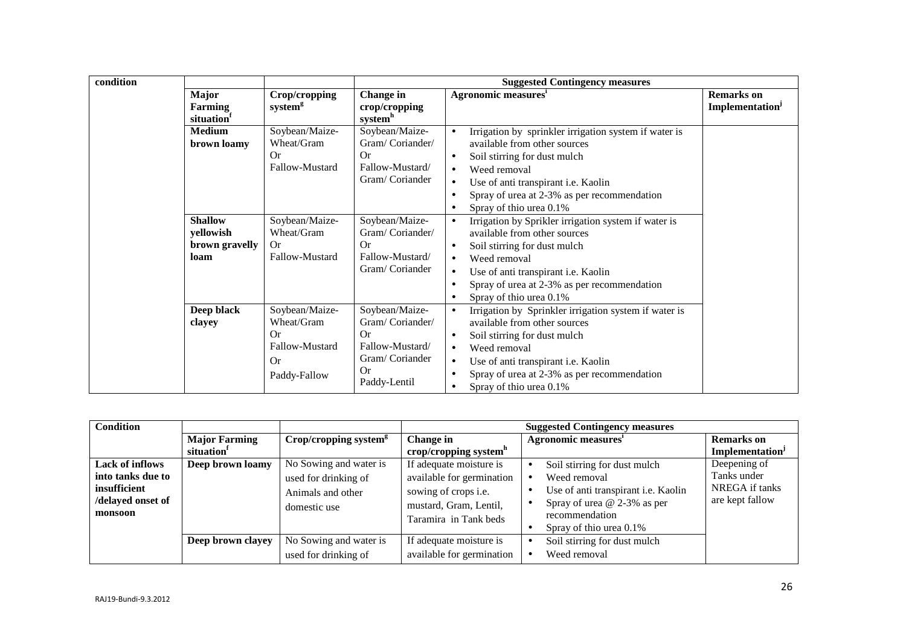| condition |                                                       |                                                                                          |                                                                                                           | <b>Suggested Contingency measures</b>                                                                                                                                                                                                                                                                                                                                |                             |
|-----------|-------------------------------------------------------|------------------------------------------------------------------------------------------|-----------------------------------------------------------------------------------------------------------|----------------------------------------------------------------------------------------------------------------------------------------------------------------------------------------------------------------------------------------------------------------------------------------------------------------------------------------------------------------------|-----------------------------|
|           | <b>Major</b>                                          | Crop/cropping                                                                            | Change in                                                                                                 | <b>Agronomic measures</b>                                                                                                                                                                                                                                                                                                                                            | <b>Remarks</b> on           |
|           | <b>Farming</b><br>situation <sup>1</sup>              | system <sup>g</sup>                                                                      | crop/cropping<br>system <sup>h</sup>                                                                      |                                                                                                                                                                                                                                                                                                                                                                      | Implementation <sup>J</sup> |
|           | <b>Medium</b><br>brown loamy                          | Soybean/Maize-<br>Wheat/Gram<br>Or<br>Fallow-Mustard                                     | Soybean/Maize-<br>Gram/Coriander/<br>Or<br>Fallow-Mustard/<br>Gram/Coriander                              | Irrigation by sprinkler irrigation system if water is<br>$\bullet$<br>available from other sources<br>Soil stirring for dust mulch<br>$\bullet$<br>Weed removal<br>$\bullet$<br>Use of anti transpirant i.e. Kaolin<br>$\bullet$<br>Spray of urea at 2-3% as per recommendation<br>$\bullet$                                                                         |                             |
|           |                                                       |                                                                                          |                                                                                                           | Spray of thio urea 0.1%<br>٠                                                                                                                                                                                                                                                                                                                                         |                             |
|           | <b>Shallow</b><br>yellowish<br>brown gravelly<br>loam | Soybean/Maize-<br>Wheat/Gram<br><b>Or</b><br>Fallow-Mustard                              | Soybean/Maize-<br>Gram/Coriander/<br>Or<br>Fallow-Mustard/<br>Gram/Coriander                              | Irrigation by Sprikler irrigation system if water is<br>$\bullet$<br>available from other sources<br>Soil stirring for dust mulch<br>٠<br>Weed removal<br>$\bullet$<br>Use of anti transpirant i.e. Kaolin<br>$\bullet$<br>Spray of urea at 2-3% as per recommendation<br>٠                                                                                          |                             |
|           | Deep black<br>clayey                                  | Soybean/Maize-<br>Wheat/Gram<br><b>Or</b><br>Fallow-Mustard<br><b>Or</b><br>Paddy-Fallow | Soybean/Maize-<br>Gram/Coriander/<br><b>Or</b><br>Fallow-Mustard/<br>Gram/Coriander<br>Or<br>Paddy-Lentil | Spray of thio urea 0.1%<br>$\bullet$<br>Irrigation by Sprinkler irrigation system if water is<br>$\bullet$<br>available from other sources<br>Soil stirring for dust mulch<br>$\bullet$<br>Weed removal<br>$\bullet$<br>Use of anti transpirant i.e. Kaolin<br>$\bullet$<br>Spray of urea at 2-3% as per recommendation<br>٠<br>Spray of thio urea 0.1%<br>$\bullet$ |                             |

| Condition              |                        |                                     | <b>Suggested Contingency measures</b> |                                            |                             |  |
|------------------------|------------------------|-------------------------------------|---------------------------------------|--------------------------------------------|-----------------------------|--|
|                        | <b>Major Farming</b>   | $Crop/cropping$ system <sup>g</sup> | Change in                             | Agronomic measures'                        | <b>Remarks</b> on           |  |
|                        | situation <sup>1</sup> |                                     | crop/cropping system <sup>h</sup>     |                                            | Implementation <sup>J</sup> |  |
| <b>Lack of inflows</b> | Deep brown loamy       | No Sowing and water is              | If adequate moisture is               | Soil stirring for dust mulch<br>$\bullet$  | Deepening of                |  |
| into tanks due to      |                        | used for drinking of                | available for germination             | Weed removal                               | Tanks under                 |  |
| insufficient           |                        | Animals and other                   | sowing of crops <i>i.e.</i>           | Use of anti transpirant i.e. Kaolin        | NREGA if tanks              |  |
| delayed onset of       |                        | domestic use                        | mustard, Gram, Lentil,                | Spray of urea $@$ 2-3% as per<br>$\bullet$ | are kept fallow             |  |
| monsoon                |                        |                                     | Taramira in Tank beds                 | recommendation                             |                             |  |
|                        |                        |                                     |                                       | Spray of thio urea 0.1%                    |                             |  |
|                        | Deep brown clayey      | No Sowing and water is              | If adequate moisture is               | Soil stirring for dust mulch               |                             |  |
|                        |                        | used for drinking of                | available for germination             | Weed removal                               |                             |  |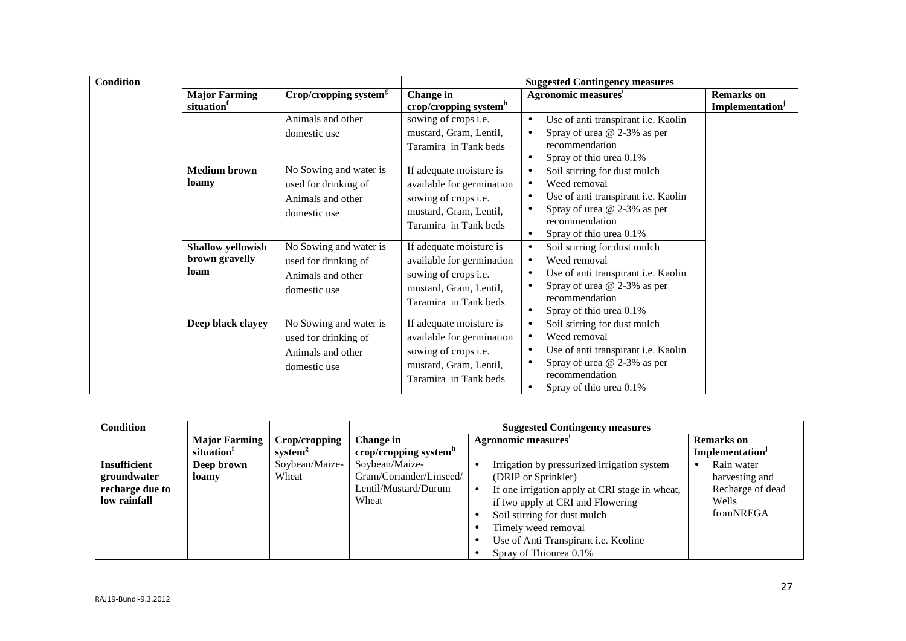| <b>Condition</b> |                          |                                     |                                   | <b>Suggested Contingency measures</b>            |                             |
|------------------|--------------------------|-------------------------------------|-----------------------------------|--------------------------------------------------|-----------------------------|
|                  | <b>Major Farming</b>     | $Crop/cropping$ system <sup>g</sup> | Change in                         | Agronomic measures'                              | <b>Remarks</b> on           |
|                  | situation                |                                     | crop/cropping system <sup>h</sup> |                                                  | Implementation <sup>J</sup> |
|                  |                          | Animals and other                   | sowing of crops i.e.              | Use of anti transpirant i.e. Kaolin<br>$\bullet$ |                             |
|                  |                          | domestic use                        | mustard, Gram, Lentil,            | Spray of urea @ 2-3% as per<br>$\bullet$         |                             |
|                  |                          |                                     | Taramira in Tank beds             | recommendation                                   |                             |
|                  |                          |                                     |                                   | Spray of thio urea 0.1%<br>$\bullet$             |                             |
|                  | <b>Medium brown</b>      | No Sowing and water is              | If adequate moisture is           | Soil stirring for dust mulch<br>$\bullet$        |                             |
|                  | loamy                    | used for drinking of                | available for germination         | Weed removal<br>$\bullet$                        |                             |
|                  |                          | Animals and other                   | sowing of crops i.e.              | Use of anti transpirant i.e. Kaolin<br>$\bullet$ |                             |
|                  |                          | domestic use                        | mustard, Gram, Lentil,            | Spray of urea @ 2-3% as per<br>٠                 |                             |
|                  |                          |                                     | Taramira in Tank beds             | recommendation                                   |                             |
|                  |                          |                                     |                                   | Spray of thio urea 0.1%<br>$\bullet$             |                             |
|                  | <b>Shallow yellowish</b> | No Sowing and water is              | If adequate moisture is           | Soil stirring for dust mulch<br>$\bullet$        |                             |
|                  | brown gravelly           | used for drinking of                | available for germination         | Weed removal<br>$\bullet$                        |                             |
|                  | loam                     | Animals and other                   | sowing of crops i.e.              | Use of anti transpirant i.e. Kaolin<br>$\bullet$ |                             |
|                  |                          | domestic use                        | mustard, Gram, Lentil,            | Spray of urea $@$ 2-3% as per<br>$\bullet$       |                             |
|                  |                          |                                     | Taramira in Tank beds             | recommendation                                   |                             |
|                  |                          |                                     |                                   | Spray of thio urea 0.1%<br>$\bullet$             |                             |
|                  | Deep black clayey        | No Sowing and water is              | If adequate moisture is           | Soil stirring for dust mulch<br>$\bullet$        |                             |
|                  |                          | used for drinking of                | available for germination         | Weed removal<br>$\bullet$                        |                             |
|                  |                          | Animals and other                   | sowing of crops i.e.              | Use of anti transpirant i.e. Kaolin<br>٠         |                             |
|                  |                          | domestic use                        | mustard, Gram, Lentil,            | Spray of urea @ 2-3% as per<br>٠                 |                             |
|                  |                          |                                     | Taramira in Tank beds             | recommendation                                   |                             |
|                  |                          |                                     |                                   | Spray of thio urea 0.1%<br>$\bullet$             |                             |

| <b>Condition</b>    |                        |                     | <b>Suggested Contingency measures</b> |                                                             |                             |
|---------------------|------------------------|---------------------|---------------------------------------|-------------------------------------------------------------|-----------------------------|
|                     | <b>Major Farming</b>   | Crop/cropping       | Change in                             | Agronomic measures'                                         | <b>Remarks</b> on           |
|                     | situation <sup>1</sup> | system <sup>g</sup> | crop/cropping system <sup>h</sup>     |                                                             | Implementation <sup>J</sup> |
| <b>Insufficient</b> | Deep brown             | Soybean/Maize-      | Soybean/Maize-                        | Irrigation by pressurized irrigation system                 | Rain water                  |
| groundwater         | <b>loamy</b>           | Wheat               | Gram/Coriander/Linseed/               | (DRIP or Sprinkler)                                         | harvesting and              |
| recharge due to     |                        |                     | Lentil/Mustard/Durum                  | If one irrigation apply at CRI stage in wheat,<br>$\bullet$ | Recharge of dead            |
| low rainfall        |                        |                     | Wheat                                 | if two apply at CRI and Flowering                           | Wells                       |
|                     |                        |                     |                                       | Soil stirring for dust mulch                                | fromNREGA                   |
|                     |                        |                     |                                       | Timely weed removal                                         |                             |
|                     |                        |                     |                                       | Use of Anti Transpirant i.e. Keoline                        |                             |
|                     |                        |                     |                                       | Spray of Thiourea 0.1%                                      |                             |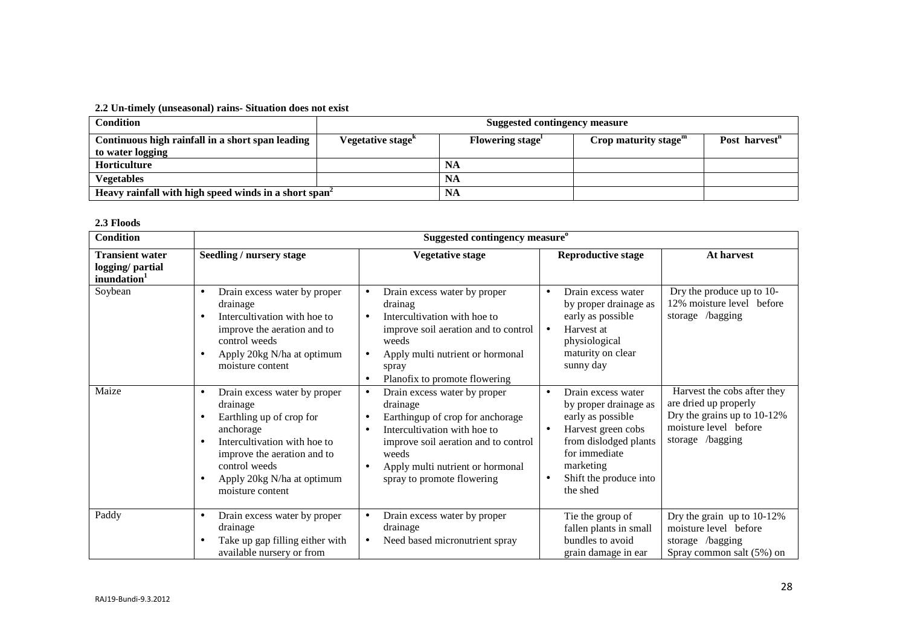#### **2.2 Un-timely (unseasonal) rains- Situation does not exist**

| Condition                                                            | <b>Suggested contingency measure</b>       |                        |                         |                           |
|----------------------------------------------------------------------|--------------------------------------------|------------------------|-------------------------|---------------------------|
| Continuous high rainfall in a short span leading<br>to water logging | Vegetative stage <sup><math>K</math></sup> | <b>Flowering stage</b> | Crop maturity stage $m$ | Post harvest <sup>n</sup> |
| Horticulture                                                         |                                            | NA                     |                         |                           |
| Vegetables                                                           |                                            | <b>NA</b>              |                         |                           |
| Heavy rainfall with high speed winds in a short span <sup>2</sup>    | NA                                         |                        |                         |                           |

#### **2.3 Floods**

| <b>Condition</b>                                                      |                                                                                                                                                                                                                     | Suggested contingency measure <sup>o</sup>                                                                                                                                                                                                                             |                                                                                                                                                                                                                            |                                                                                                                                  |
|-----------------------------------------------------------------------|---------------------------------------------------------------------------------------------------------------------------------------------------------------------------------------------------------------------|------------------------------------------------------------------------------------------------------------------------------------------------------------------------------------------------------------------------------------------------------------------------|----------------------------------------------------------------------------------------------------------------------------------------------------------------------------------------------------------------------------|----------------------------------------------------------------------------------------------------------------------------------|
| <b>Transient water</b><br>logging/ partial<br>inundation <sup>1</sup> | <b>Seedling / nursery stage</b>                                                                                                                                                                                     | <b>Vegetative stage</b>                                                                                                                                                                                                                                                | <b>Reproductive stage</b>                                                                                                                                                                                                  | At harvest                                                                                                                       |
| Soybean                                                               | Drain excess water by proper<br>drainage<br>Intercultivation with hoe to<br>improve the aeration and to<br>control weeds<br>Apply 20kg N/ha at optimum<br>moisture content                                          | Drain excess water by proper<br>$\bullet$<br>drainag<br>Intercultivation with hoe to<br>improve soil aeration and to control<br>weeds<br>Apply multi nutrient or hormonal<br>$\bullet$<br>spray<br>Planofix to promote flowering                                       | Drain excess water<br>$\bullet$<br>by proper drainage as<br>early as possible<br>Harvest at<br>$\bullet$<br>physiological<br>maturity on clear<br>sunny day                                                                | Dry the produce up to 10-<br>12% moisture level before<br>storage /bagging                                                       |
| Maize                                                                 | Drain excess water by proper<br>drainage<br>Earthling up of crop for<br>anchorage<br>Intercultivation with hoe to<br>improve the aeration and to<br>control weeds<br>Apply 20kg N/ha at optimum<br>moisture content | Drain excess water by proper<br>$\bullet$<br>drainage<br>Earthingup of crop for anchorage<br>Intercultivation with hoe to<br>$\bullet$<br>improve soil aeration and to control<br>weeds<br>Apply multi nutrient or hormonal<br>$\bullet$<br>spray to promote flowering | Drain excess water<br>$\bullet$<br>by proper drainage as<br>early as possible<br>Harvest green cobs<br>$\bullet$<br>from dislodged plants<br>for immediate<br>marketing<br>Shift the produce into<br>$\bullet$<br>the shed | Harvest the cobs after they<br>are dried up properly<br>Dry the grains up to 10-12%<br>moisture level before<br>storage /bagging |
| Paddy                                                                 | Drain excess water by proper<br>drainage<br>Take up gap filling either with<br>available nursery or from                                                                                                            | Drain excess water by proper<br>٠<br>drainage<br>Need based micronutrient spray<br>$\bullet$                                                                                                                                                                           | Tie the group of<br>fallen plants in small<br>bundles to avoid<br>grain damage in ear                                                                                                                                      | Dry the grain up to 10-12%<br>moisture level before<br>storage /bagging<br>Spray common salt (5%) on                             |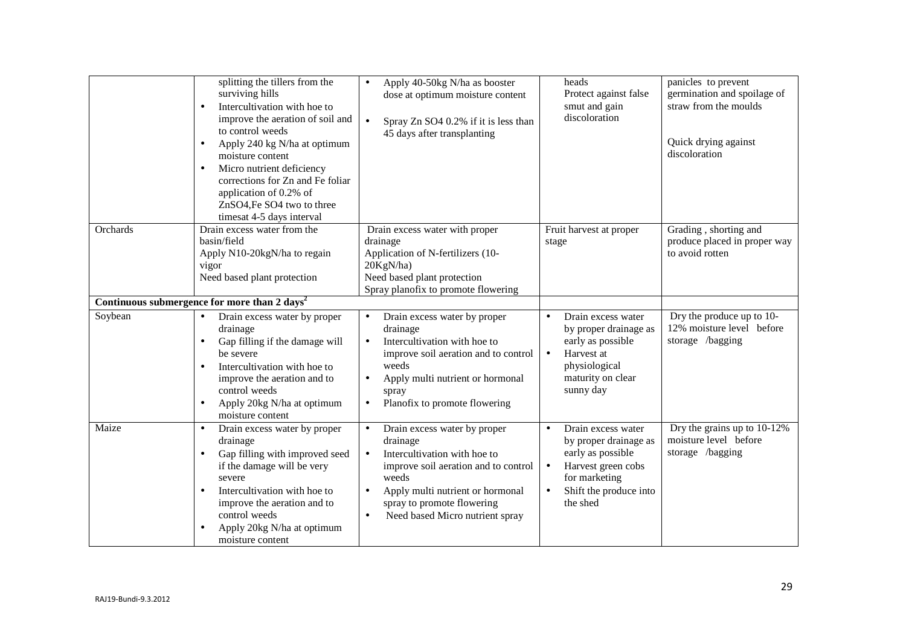|          | splitting the tillers from the<br>surviving hills<br>Intercultivation with hoe to<br>$\bullet$<br>improve the aeration of soil and<br>to control weeds<br>Apply 240 kg N/ha at optimum<br>$\bullet$<br>moisture content<br>Micro nutrient deficiency<br>$\bullet$<br>corrections for Zn and Fe foliar<br>application of 0.2% of<br>ZnSO4, Fe SO4 two to three<br>timesat 4-5 days interval | Apply 40-50kg N/ha as booster<br>$\bullet$<br>dose at optimum moisture content<br>$\bullet$<br>Spray Zn SO4 0.2% if it is less than<br>45 days after transplanting                                                                                                                 | heads<br>Protect against false<br>smut and gain<br>discoloration                                                                                                                     | panicles to prevent<br>germination and spoilage of<br>straw from the moulds<br>Quick drying against<br>discoloration |
|----------|--------------------------------------------------------------------------------------------------------------------------------------------------------------------------------------------------------------------------------------------------------------------------------------------------------------------------------------------------------------------------------------------|------------------------------------------------------------------------------------------------------------------------------------------------------------------------------------------------------------------------------------------------------------------------------------|--------------------------------------------------------------------------------------------------------------------------------------------------------------------------------------|----------------------------------------------------------------------------------------------------------------------|
| Orchards | Drain excess water from the<br>basin/field<br>Apply N10-20kgN/ha to regain<br>vigor<br>Need based plant protection                                                                                                                                                                                                                                                                         | Drain excess water with proper<br>drainage<br>Application of N-fertilizers (10-<br>20KgN/ha)<br>Need based plant protection<br>Spray planofix to promote flowering                                                                                                                 | Fruit harvest at proper<br>stage                                                                                                                                                     | Grading, shorting and<br>produce placed in proper way<br>to avoid rotten                                             |
| Soybean  | Continuous submergence for more than 2 days <sup>2</sup><br>Drain excess water by proper<br>$\bullet$<br>drainage<br>Gap filling if the damage will<br>$\bullet$<br>be severe<br>Intercultivation with hoe to<br>$\bullet$<br>improve the aeration and to<br>control weeds<br>Apply 20kg N/ha at optimum<br>moisture content                                                               | Drain excess water by proper<br>drainage<br>Intercultivation with hoe to<br>$\bullet$<br>improve soil aeration and to control<br>weeds<br>Apply multi nutrient or hormonal<br>spray<br>Planofix to promote flowering<br>$\bullet$                                                  | Drain excess water<br>$\bullet$<br>by proper drainage as<br>early as possible<br>Harvest at<br>$\bullet$<br>physiological<br>maturity on clear<br>sunny day                          | Dry the produce up to 10-<br>12% moisture level before<br>storage /bagging                                           |
| Maize    | Drain excess water by proper<br>$\bullet$<br>drainage<br>Gap filling with improved seed<br>$\bullet$<br>if the damage will be very<br>severe<br>Intercultivation with hoe to<br>improve the aeration and to<br>control weeds<br>Apply 20kg N/ha at optimum<br>moisture content                                                                                                             | Drain excess water by proper<br>$\bullet$<br>drainage<br>Intercultivation with hoe to<br>$\bullet$<br>improve soil aeration and to control<br>weeds<br>Apply multi nutrient or hormonal<br>$\bullet$<br>spray to promote flowering<br>Need based Micro nutrient spray<br>$\bullet$ | Drain excess water<br>$\bullet$<br>by proper drainage as<br>early as possible<br>Harvest green cobs<br>$\bullet$<br>for marketing<br>Shift the produce into<br>$\bullet$<br>the shed | Dry the grains up to 10-12%<br>moisture level before<br>storage /bagging                                             |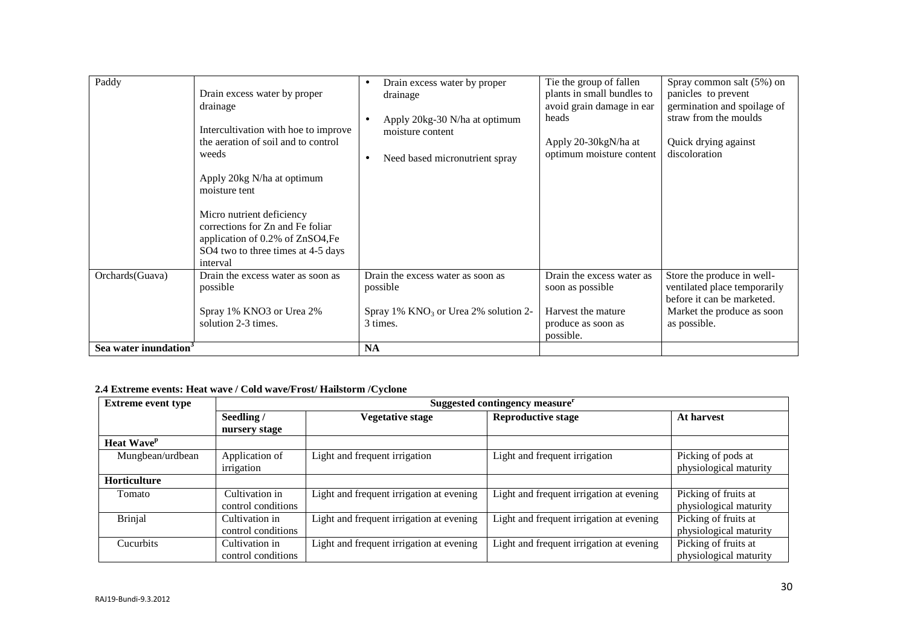| Paddy                             | Drain excess water by proper<br>drainage<br>Intercultivation with hoe to improve<br>the aeration of soil and to control<br>weeds<br>Apply 20kg N/ha at optimum<br>moisture tent<br>Micro nutrient deficiency<br>corrections for Zn and Fe foliar<br>application of 0.2% of ZnSO4, Fe<br>SO4 two to three times at 4-5 days<br>interval | Drain excess water by proper<br>$\bullet$<br>drainage<br>Apply 20kg-30 N/ha at optimum<br>$\bullet$<br>moisture content<br>Need based micronutrient spray<br>$\bullet$ | Tie the group of fallen<br>plants in small bundles to<br>avoid grain damage in ear<br>heads<br>Apply 20-30kgN/ha at<br>optimum moisture content | Spray common salt (5%) on<br>panicles to prevent<br>germination and spoilage of<br>straw from the moulds<br>Quick drying against<br>discoloration |
|-----------------------------------|----------------------------------------------------------------------------------------------------------------------------------------------------------------------------------------------------------------------------------------------------------------------------------------------------------------------------------------|------------------------------------------------------------------------------------------------------------------------------------------------------------------------|-------------------------------------------------------------------------------------------------------------------------------------------------|---------------------------------------------------------------------------------------------------------------------------------------------------|
| Orchards(Guava)                   | Drain the excess water as soon as<br>possible<br>Spray 1% KNO3 or Urea 2%<br>solution 2-3 times.                                                                                                                                                                                                                                       | Drain the excess water as soon as<br>possible<br>Spray 1% $KNO3$ or Urea 2% solution 2-<br>3 times.                                                                    | Drain the excess water as<br>soon as possible<br>Harvest the mature<br>produce as soon as<br>possible.                                          | Store the produce in well-<br>ventilated place temporarily<br>before it can be marketed.<br>Market the produce as soon<br>as possible.            |
| Sea water inundation <sup>3</sup> |                                                                                                                                                                                                                                                                                                                                        | <b>NA</b>                                                                                                                                                              |                                                                                                                                                 |                                                                                                                                                   |

# **2.4 Extreme events: Heat wave / Cold wave/Frost/ Hailstorm /Cyclone**

| <b>Extreme event type</b>     | Suggested contingency measure <sup>r</sup> |                                          |                                          |                                              |
|-------------------------------|--------------------------------------------|------------------------------------------|------------------------------------------|----------------------------------------------|
|                               | Seedling /                                 | <b>Vegetative stage</b>                  | <b>Reproductive stage</b>                | At harvest                                   |
|                               | nursery stage                              |                                          |                                          |                                              |
| <b>Heat Wave</b> <sup>p</sup> |                                            |                                          |                                          |                                              |
| Mungbean/urdbean              | Application of<br>irrigation               | Light and frequent irrigation            | Light and frequent irrigation            | Picking of pods at<br>physiological maturity |
| Horticulture                  |                                            |                                          |                                          |                                              |
| Tomato                        | Cultivation in                             | Light and frequent irrigation at evening | Light and frequent irrigation at evening | Picking of fruits at                         |
|                               | control conditions                         |                                          |                                          | physiological maturity                       |
| <b>Brinjal</b>                | Cultivation in                             | Light and frequent irrigation at evening | Light and frequent irrigation at evening | Picking of fruits at                         |
|                               | control conditions                         |                                          |                                          | physiological maturity                       |
| Cucurbits                     | Cultivation in                             | Light and frequent irrigation at evening | Light and frequent irrigation at evening | Picking of fruits at                         |
|                               | control conditions                         |                                          |                                          | physiological maturity                       |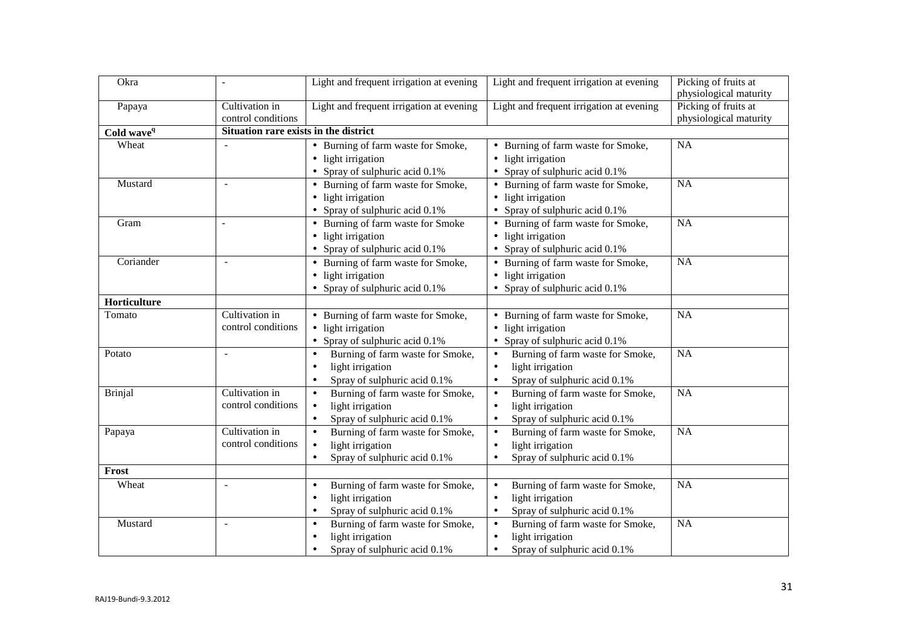| Okra                   | $\overline{a}$           | Light and frequent irrigation at evening      | Light and frequent irrigation at evening      | Picking of fruits at   |  |  |
|------------------------|--------------------------|-----------------------------------------------|-----------------------------------------------|------------------------|--|--|
|                        |                          |                                               |                                               | physiological maturity |  |  |
| Papaya                 | Cultivation in           | Light and frequent irrigation at evening      | Light and frequent irrigation at evening      | Picking of fruits at   |  |  |
|                        | control conditions       |                                               |                                               | physiological maturity |  |  |
| Cold wave <sup>q</sup> |                          | Situation rare exists in the district         |                                               |                        |  |  |
| Wheat                  |                          | • Burning of farm waste for Smoke,            | • Burning of farm waste for Smoke,            | NA                     |  |  |
|                        |                          | • light irrigation                            | • light irrigation                            |                        |  |  |
|                        |                          | • Spray of sulphuric acid 0.1%                | • Spray of sulphuric acid 0.1%                |                        |  |  |
| Mustard                |                          | • Burning of farm waste for Smoke,            | • Burning of farm waste for Smoke,            | <b>NA</b>              |  |  |
|                        |                          | • light irrigation                            | • light irrigation                            |                        |  |  |
|                        |                          | • Spray of sulphuric acid 0.1%                | • Spray of sulphuric acid 0.1%                |                        |  |  |
| Gram                   |                          | • Burning of farm waste for Smoke             | • Burning of farm waste for Smoke,            | $\overline{NA}$        |  |  |
|                        |                          | • light irrigation                            | • light irrigation                            |                        |  |  |
|                        |                          | • Spray of sulphuric acid 0.1%                | • Spray of sulphuric acid 0.1%                |                        |  |  |
| Coriander              |                          | • Burning of farm waste for Smoke,            | • Burning of farm waste for Smoke,            | <b>NA</b>              |  |  |
|                        |                          | • light irrigation                            | • light irrigation                            |                        |  |  |
|                        |                          | • Spray of sulphuric acid 0.1%                | • Spray of sulphuric acid 0.1%                |                        |  |  |
| Horticulture           |                          |                                               |                                               |                        |  |  |
| Tomato                 | Cultivation in           | • Burning of farm waste for Smoke,            | • Burning of farm waste for Smoke,            | <b>NA</b>              |  |  |
|                        | control conditions       | • light irrigation                            | • light irrigation                            |                        |  |  |
|                        |                          | • Spray of sulphuric acid 0.1%                | • Spray of sulphuric acid $0.1\%$             |                        |  |  |
| Potato                 |                          | Burning of farm waste for Smoke,<br>$\bullet$ | Burning of farm waste for Smoke,              | NA                     |  |  |
|                        |                          | light irrigation<br>$\bullet$                 | light irrigation                              |                        |  |  |
|                        |                          | Spray of sulphuric acid 0.1%<br>$\bullet$     | Spray of sulphuric acid 0.1%<br>$\bullet$     |                        |  |  |
| <b>Brinjal</b>         | Cultivation in           | Burning of farm waste for Smoke,<br>$\bullet$ | Burning of farm waste for Smoke,<br>$\bullet$ | NA                     |  |  |
|                        | control conditions       | light irrigation<br>$\bullet$                 | light irrigation                              |                        |  |  |
|                        |                          | Spray of sulphuric acid 0.1%<br>$\bullet$     | Spray of sulphuric acid 0.1%<br>$\bullet$     |                        |  |  |
| Papaya                 | Cultivation in           | Burning of farm waste for Smoke,<br>$\bullet$ | Burning of farm waste for Smoke,<br>$\bullet$ | NA                     |  |  |
|                        | control conditions       | light irrigation<br>$\bullet$                 | light irrigation                              |                        |  |  |
|                        |                          | Spray of sulphuric acid 0.1%<br>$\bullet$     | Spray of sulphuric acid 0.1%                  |                        |  |  |
| Frost                  |                          |                                               |                                               |                        |  |  |
| Wheat                  | $\overline{\phantom{a}}$ | Burning of farm waste for Smoke,<br>$\bullet$ | Burning of farm waste for Smoke,<br>$\bullet$ | NA                     |  |  |
|                        |                          | light irrigation<br>$\bullet$                 | light irrigation<br>$\bullet$                 |                        |  |  |
|                        |                          | Spray of sulphuric acid 0.1%<br>$\bullet$     | Spray of sulphuric acid 0.1%<br>$\bullet$     |                        |  |  |
| Mustard                | $\overline{\phantom{a}}$ | Burning of farm waste for Smoke,<br>$\bullet$ | Burning of farm waste for Smoke,<br>$\bullet$ | NA                     |  |  |
|                        |                          | light irrigation<br>$\bullet$                 | light irrigation                              |                        |  |  |
|                        |                          | Spray of sulphuric acid 0.1%<br>$\bullet$     | Spray of sulphuric acid 0.1%<br>$\bullet$     |                        |  |  |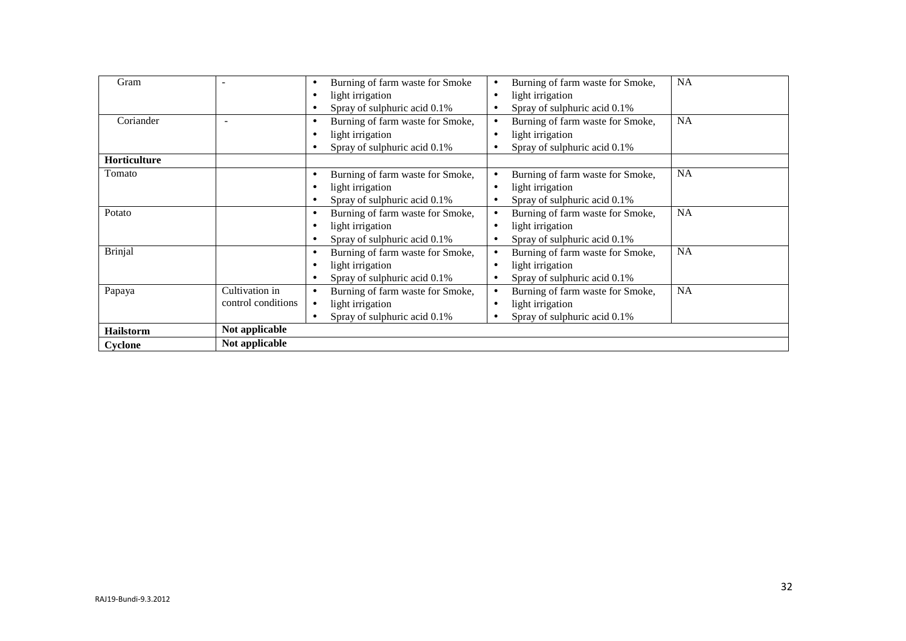| Gram             |                               | Burning of farm waste for Smoke<br>$\bullet$  | Burning of farm waste for Smoke, | <b>NA</b> |
|------------------|-------------------------------|-----------------------------------------------|----------------------------------|-----------|
|                  | light irrigation<br>$\bullet$ |                                               | light irrigation                 |           |
|                  |                               | Spray of sulphuric acid 0.1%<br>$\bullet$     | Spray of sulphuric acid 0.1%     |           |
| Coriander        |                               | Burning of farm waste for Smoke,<br>$\bullet$ | Burning of farm waste for Smoke, | <b>NA</b> |
|                  |                               | light irrigation<br>$\bullet$                 | light irrigation                 |           |
|                  |                               | Spray of sulphuric acid 0.1%<br>$\bullet$     | Spray of sulphuric acid 0.1%     |           |
| Horticulture     |                               |                                               |                                  |           |
| Tomato           |                               | Burning of farm waste for Smoke,<br>$\bullet$ | Burning of farm waste for Smoke, | <b>NA</b> |
|                  |                               | light irrigation<br>$\bullet$                 | light irrigation                 |           |
|                  |                               | Spray of sulphuric acid 0.1%<br>$\bullet$     | Spray of sulphuric acid 0.1%     |           |
| Potato           |                               | Burning of farm waste for Smoke,<br>$\bullet$ | Burning of farm waste for Smoke, | <b>NA</b> |
|                  |                               | light irrigation<br>$\bullet$                 | light irrigation                 |           |
|                  |                               | Spray of sulphuric acid 0.1%<br>$\bullet$     | Spray of sulphuric acid 0.1%     |           |
| <b>Brinjal</b>   |                               | Burning of farm waste for Smoke,<br>$\bullet$ | Burning of farm waste for Smoke, | <b>NA</b> |
|                  |                               | light irrigation<br>$\bullet$                 | light irrigation                 |           |
|                  |                               | Spray of sulphuric acid 0.1%<br>$\bullet$     | Spray of sulphuric acid 0.1%     |           |
| Papaya           | Cultivation in                | Burning of farm waste for Smoke,<br>$\bullet$ | Burning of farm waste for Smoke, | <b>NA</b> |
|                  | control conditions            | light irrigation<br>$\bullet$                 | light irrigation                 |           |
|                  |                               | Spray of sulphuric acid 0.1%<br>$\bullet$     | Spray of sulphuric acid 0.1%     |           |
| <b>Hailstorm</b> | Not applicable                |                                               |                                  |           |
| Cyclone          | Not applicable                |                                               |                                  |           |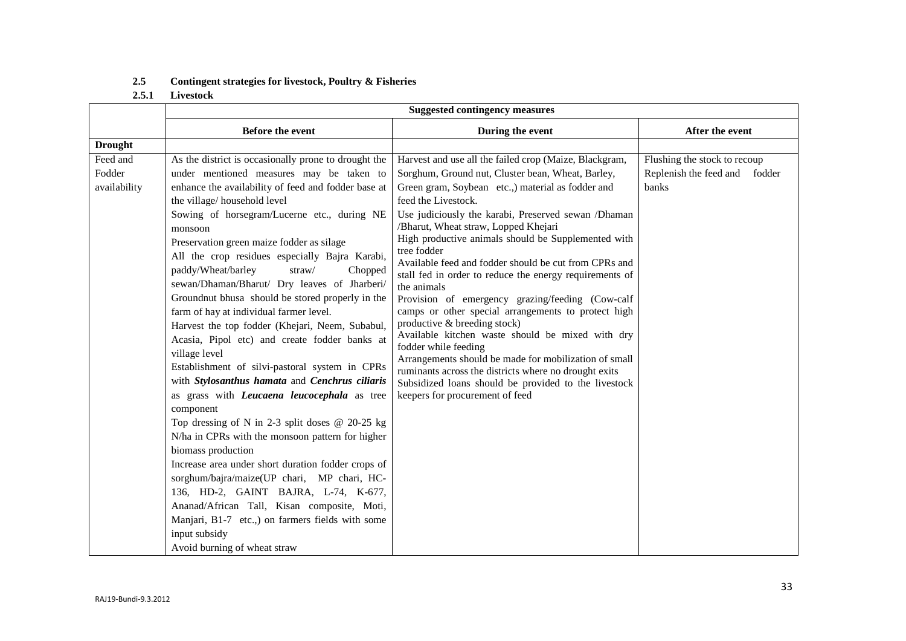## **2.5 Contingent strategies for livestock, Poultry & Fisheries**

## **2.5.1 Livestock**

|                | <b>Suggested contingency measures</b>                    |                                                                                  |                               |  |  |
|----------------|----------------------------------------------------------|----------------------------------------------------------------------------------|-------------------------------|--|--|
|                | <b>Before the event</b>                                  | During the event                                                                 | After the event               |  |  |
| <b>Drought</b> |                                                          |                                                                                  |                               |  |  |
| Feed and       | As the district is occasionally prone to drought the     | Harvest and use all the failed crop (Maize, Blackgram,                           | Flushing the stock to recoup  |  |  |
| Fodder         | under mentioned measures may be taken to                 | Sorghum, Ground nut, Cluster bean, Wheat, Barley,                                | Replenish the feed and fodder |  |  |
| availability   | enhance the availability of feed and fodder base at      | Green gram, Soybean etc.,) material as fodder and                                | banks                         |  |  |
|                | the village/household level                              | feed the Livestock.                                                              |                               |  |  |
|                | Sowing of horsegram/Lucerne etc., during NE              | Use judiciously the karabi, Preserved sewan /Dhaman                              |                               |  |  |
|                | monsoon                                                  | /Bharut, Wheat straw, Lopped Khejari                                             |                               |  |  |
|                | Preservation green maize fodder as silage                | High productive animals should be Supplemented with<br>tree fodder               |                               |  |  |
|                | All the crop residues especially Bajra Karabi,           | Available feed and fodder should be cut from CPRs and                            |                               |  |  |
|                | paddy/Wheat/barley<br>straw/<br>Chopped                  | stall fed in order to reduce the energy requirements of                          |                               |  |  |
|                | sewan/Dhaman/Bharut/ Dry leaves of Jharberi/             | the animals                                                                      |                               |  |  |
|                | Groundnut bhusa should be stored properly in the         | Provision of emergency grazing/feeding (Cow-calf                                 |                               |  |  |
|                | farm of hay at individual farmer level.                  | camps or other special arrangements to protect high                              |                               |  |  |
|                | Harvest the top fodder (Khejari, Neem, Subabul,          | productive & breeding stock)<br>Available kitchen waste should be mixed with dry |                               |  |  |
|                | Acasia, Pipol etc) and create fodder banks at            | fodder while feeding                                                             |                               |  |  |
|                | village level                                            | Arrangements should be made for mobilization of small                            |                               |  |  |
|                | Establishment of silvi-pastoral system in CPRs           | ruminants across the districts where no drought exits                            |                               |  |  |
|                | with Stylosanthus hamata and Cenchrus ciliaris           | Subsidized loans should be provided to the livestock                             |                               |  |  |
|                | as grass with Leucaena leucocephala as tree<br>component | keepers for procurement of feed                                                  |                               |  |  |
|                | Top dressing of N in 2-3 split doses $@$ 20-25 kg        |                                                                                  |                               |  |  |
|                | N/ha in CPRs with the monsoon pattern for higher         |                                                                                  |                               |  |  |
|                | biomass production                                       |                                                                                  |                               |  |  |
|                | Increase area under short duration fodder crops of       |                                                                                  |                               |  |  |
|                | sorghum/bajra/maize(UP chari, MP chari, HC-              |                                                                                  |                               |  |  |
|                | 136, HD-2, GAINT BAJRA, L-74, K-677,                     |                                                                                  |                               |  |  |
|                | Ananad/African Tall, Kisan composite, Moti,              |                                                                                  |                               |  |  |
|                | Manjari, B1-7 etc.,) on farmers fields with some         |                                                                                  |                               |  |  |
|                | input subsidy                                            |                                                                                  |                               |  |  |
|                | Avoid burning of wheat straw                             |                                                                                  |                               |  |  |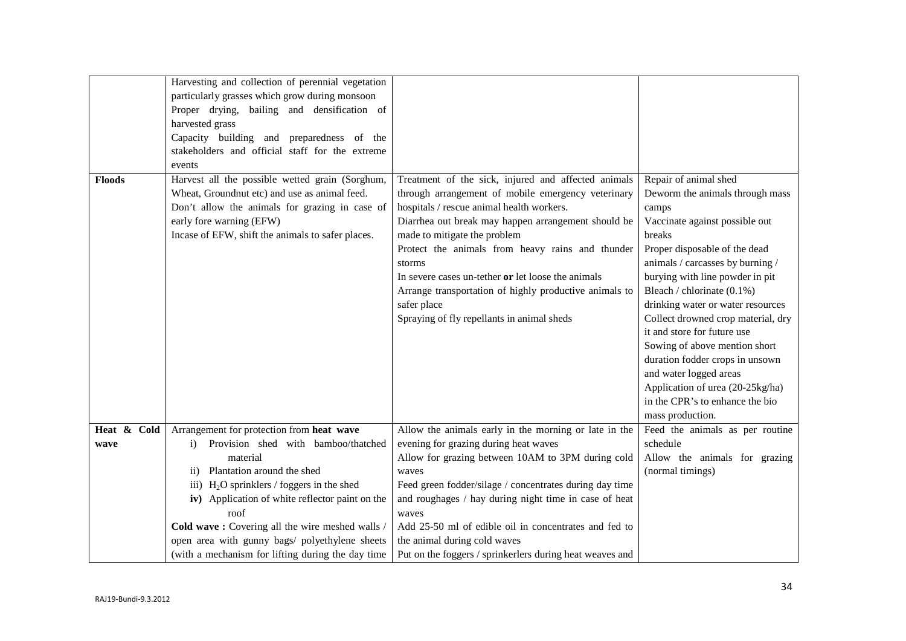|               | Harvesting and collection of perennial vegetation   |                                                          |                                    |
|---------------|-----------------------------------------------------|----------------------------------------------------------|------------------------------------|
|               | particularly grasses which grow during monsoon      |                                                          |                                    |
|               | Proper drying, bailing and densification of         |                                                          |                                    |
|               | harvested grass                                     |                                                          |                                    |
|               | Capacity building and preparedness of the           |                                                          |                                    |
|               | stakeholders and official staff for the extreme     |                                                          |                                    |
|               | events                                              |                                                          |                                    |
| <b>Floods</b> | Harvest all the possible wetted grain (Sorghum,     | Treatment of the sick, injured and affected animals      | Repair of animal shed              |
|               | Wheat, Groundnut etc) and use as animal feed.       | through arrangement of mobile emergency veterinary       | Deworm the animals through mass    |
|               | Don't allow the animals for grazing in case of      | hospitals / rescue animal health workers.                | camps                              |
|               | early fore warning (EFW)                            | Diarrhea out break may happen arrangement should be      | Vaccinate against possible out     |
|               | Incase of EFW, shift the animals to safer places.   | made to mitigate the problem                             | breaks                             |
|               |                                                     | Protect the animals from heavy rains and thunder         | Proper disposable of the dead      |
|               |                                                     | storms                                                   | animals / carcasses by burning /   |
|               |                                                     | In severe cases un-tether or let loose the animals       | burying with line powder in pit    |
|               |                                                     | Arrange transportation of highly productive animals to   | Bleach / chlorinate (0.1%)         |
|               |                                                     | safer place                                              | drinking water or water resources  |
|               |                                                     | Spraying of fly repellants in animal sheds               | Collect drowned crop material, dry |
|               |                                                     |                                                          | it and store for future use        |
|               |                                                     |                                                          | Sowing of above mention short      |
|               |                                                     |                                                          | duration fodder crops in unsown    |
|               |                                                     |                                                          | and water logged areas             |
|               |                                                     |                                                          | Application of urea (20-25kg/ha)   |
|               |                                                     |                                                          | in the CPR's to enhance the bio    |
|               |                                                     |                                                          | mass production.                   |
| Heat & Cold   | Arrangement for protection from heat wave           | Allow the animals early in the morning or late in the    | Feed the animals as per routine    |
| wave          | Provision shed with bamboo/thatched<br>$\mathbf{i}$ | evening for grazing during heat waves                    | schedule                           |
|               | material                                            | Allow for grazing between 10AM to 3PM during cold        | Allow the animals for grazing      |
|               | Plantation around the shed<br>$\rm ii)$             | waves                                                    | (normal timings)                   |
|               | iii) $H_2O$ sprinklers / foggers in the shed        | Feed green fodder/silage / concentrates during day time  |                                    |
|               | iv) Application of white reflector paint on the     | and roughages / hay during night time in case of heat    |                                    |
|               | roof                                                | waves                                                    |                                    |
|               | Cold wave: Covering all the wire meshed walls /     | Add 25-50 ml of edible oil in concentrates and fed to    |                                    |
|               | open area with gunny bags/ polyethylene sheets      | the animal during cold waves                             |                                    |
|               | (with a mechanism for lifting during the day time   | Put on the foggers / sprinkerlers during heat weaves and |                                    |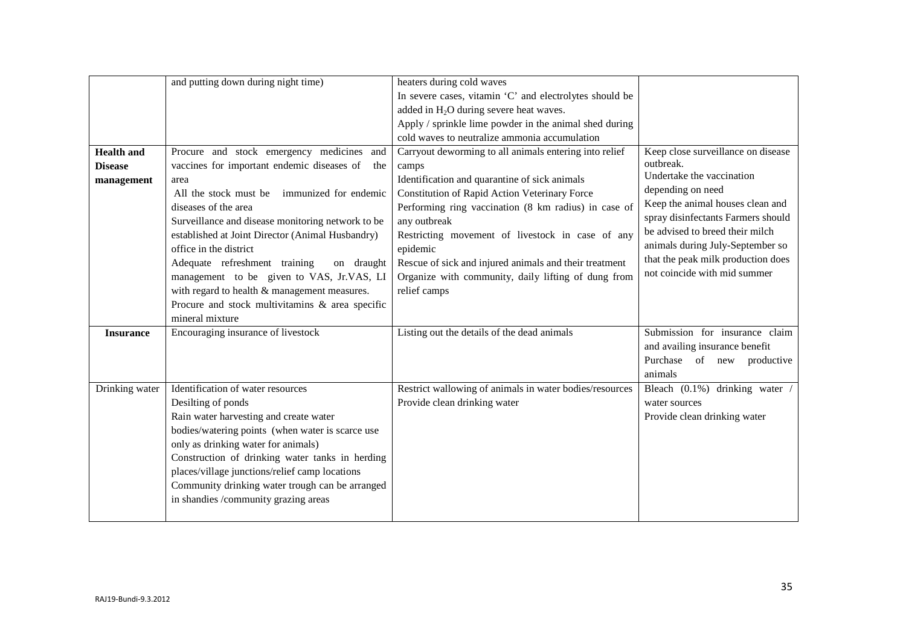|                                                   | and putting down during night time)                                                                                                                                                                                                                                                                                                                                                                                | heaters during cold waves                                                                                                                                                                                                                                                                                                                                                                                                  |                                                                                                                                                                                                                                                                                                                          |
|---------------------------------------------------|--------------------------------------------------------------------------------------------------------------------------------------------------------------------------------------------------------------------------------------------------------------------------------------------------------------------------------------------------------------------------------------------------------------------|----------------------------------------------------------------------------------------------------------------------------------------------------------------------------------------------------------------------------------------------------------------------------------------------------------------------------------------------------------------------------------------------------------------------------|--------------------------------------------------------------------------------------------------------------------------------------------------------------------------------------------------------------------------------------------------------------------------------------------------------------------------|
|                                                   |                                                                                                                                                                                                                                                                                                                                                                                                                    | In severe cases, vitamin 'C' and electrolytes should be                                                                                                                                                                                                                                                                                                                                                                    |                                                                                                                                                                                                                                                                                                                          |
|                                                   |                                                                                                                                                                                                                                                                                                                                                                                                                    | added in H <sub>2</sub> O during severe heat waves.                                                                                                                                                                                                                                                                                                                                                                        |                                                                                                                                                                                                                                                                                                                          |
|                                                   |                                                                                                                                                                                                                                                                                                                                                                                                                    | Apply / sprinkle lime powder in the animal shed during                                                                                                                                                                                                                                                                                                                                                                     |                                                                                                                                                                                                                                                                                                                          |
|                                                   |                                                                                                                                                                                                                                                                                                                                                                                                                    | cold waves to neutralize ammonia accumulation                                                                                                                                                                                                                                                                                                                                                                              |                                                                                                                                                                                                                                                                                                                          |
| <b>Health and</b><br><b>Disease</b><br>management | Procure and stock emergency medicines<br>and<br>vaccines for important endemic diseases of<br>the<br>area<br>All the stock must be<br>immunized for endemic<br>diseases of the area<br>Surveillance and disease monitoring network to be<br>established at Joint Director (Animal Husbandry)<br>office in the district<br>Adequate refreshment training<br>on draught<br>management to be given to VAS, Jr.VAS, LI | Carryout deworming to all animals entering into relief<br>camps<br>Identification and quarantine of sick animals<br>Constitution of Rapid Action Veterinary Force<br>Performing ring vaccination (8 km radius) in case of<br>any outbreak<br>Restricting movement of livestock in case of any<br>epidemic<br>Rescue of sick and injured animals and their treatment<br>Organize with community, daily lifting of dung from | Keep close surveillance on disease<br>outbreak.<br>Undertake the vaccination<br>depending on need<br>Keep the animal houses clean and<br>spray disinfectants Farmers should<br>be advised to breed their milch<br>animals during July-September so<br>that the peak milk production does<br>not coincide with mid summer |
|                                                   | with regard to health & management measures.<br>Procure and stock multivitamins & area specific<br>mineral mixture                                                                                                                                                                                                                                                                                                 | relief camps                                                                                                                                                                                                                                                                                                                                                                                                               |                                                                                                                                                                                                                                                                                                                          |
| <b>Insurance</b>                                  | Encouraging insurance of livestock                                                                                                                                                                                                                                                                                                                                                                                 | Listing out the details of the dead animals                                                                                                                                                                                                                                                                                                                                                                                | Submission for insurance claim<br>and availing insurance benefit<br>Purchase of new productive<br>animals                                                                                                                                                                                                                |
| Drinking water                                    | Identification of water resources<br>Desilting of ponds<br>Rain water harvesting and create water<br>bodies/watering points (when water is scarce use<br>only as drinking water for animals)<br>Construction of drinking water tanks in herding<br>places/village junctions/relief camp locations<br>Community drinking water trough can be arranged<br>in shandies /community grazing areas                       | Restrict wallowing of animals in water bodies/resources<br>Provide clean drinking water                                                                                                                                                                                                                                                                                                                                    | Bleach (0.1%) drinking water<br>water sources<br>Provide clean drinking water                                                                                                                                                                                                                                            |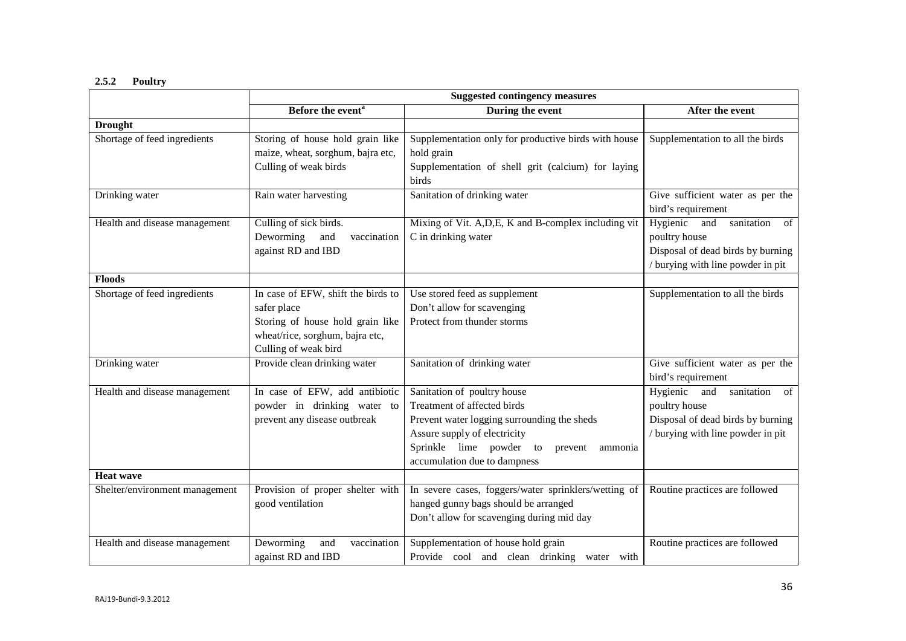# **2.5.2 Poultry**

|                                | <b>Suggested contingency measures</b>                                                                                                            |                                                                                                                                                                                                                            |                                                                                                                               |
|--------------------------------|--------------------------------------------------------------------------------------------------------------------------------------------------|----------------------------------------------------------------------------------------------------------------------------------------------------------------------------------------------------------------------------|-------------------------------------------------------------------------------------------------------------------------------|
|                                | Before the event <sup>a</sup>                                                                                                                    | During the event                                                                                                                                                                                                           | After the event                                                                                                               |
| <b>Drought</b>                 |                                                                                                                                                  |                                                                                                                                                                                                                            |                                                                                                                               |
| Shortage of feed ingredients   | Storing of house hold grain like<br>maize, wheat, sorghum, bajra etc,<br>Culling of weak birds                                                   | Supplementation only for productive birds with house<br>hold grain<br>Supplementation of shell grit (calcium) for laying<br>birds                                                                                          | Supplementation to all the birds                                                                                              |
| Drinking water                 | Rain water harvesting                                                                                                                            | Sanitation of drinking water                                                                                                                                                                                               | Give sufficient water as per the<br>bird's requirement                                                                        |
| Health and disease management  | Culling of sick birds.<br>Deworming<br>and<br>vaccination<br>against RD and IBD                                                                  | Mixing of Vit. A, D, E, K and B-complex including vit<br>C in drinking water                                                                                                                                               | Hygienic and<br>sanitation<br>of<br>poultry house<br>Disposal of dead birds by burning<br>/ burying with line powder in pit   |
| <b>Floods</b>                  |                                                                                                                                                  |                                                                                                                                                                                                                            |                                                                                                                               |
| Shortage of feed ingredients   | In case of EFW, shift the birds to<br>safer place<br>Storing of house hold grain like<br>wheat/rice, sorghum, bajra etc,<br>Culling of weak bird | Use stored feed as supplement<br>Don't allow for scavenging<br>Protect from thunder storms                                                                                                                                 | Supplementation to all the birds                                                                                              |
| Drinking water                 | Provide clean drinking water                                                                                                                     | Sanitation of drinking water                                                                                                                                                                                               | Give sufficient water as per the<br>bird's requirement                                                                        |
| Health and disease management  | In case of EFW, add antibiotic<br>powder in drinking water to<br>prevent any disease outbreak                                                    | Sanitation of poultry house<br>Treatment of affected birds<br>Prevent water logging surrounding the sheds<br>Assure supply of electricity<br>Sprinkle lime powder to<br>prevent<br>ammonia<br>accumulation due to dampness | Hygienic and<br>sanitation<br>- of<br>poultry house<br>Disposal of dead birds by burning<br>/ burying with line powder in pit |
| <b>Heat wave</b>               |                                                                                                                                                  |                                                                                                                                                                                                                            |                                                                                                                               |
| Shelter/environment management | Provision of proper shelter with<br>good ventilation                                                                                             | In severe cases, foggers/water sprinklers/wetting of<br>hanged gunny bags should be arranged<br>Don't allow for scavenging during mid day                                                                                  | Routine practices are followed                                                                                                |
| Health and disease management  | Deworming<br>vaccination<br>and<br>against RD and IBD                                                                                            | Supplementation of house hold grain<br>Provide cool and clean drinking water with                                                                                                                                          | Routine practices are followed                                                                                                |